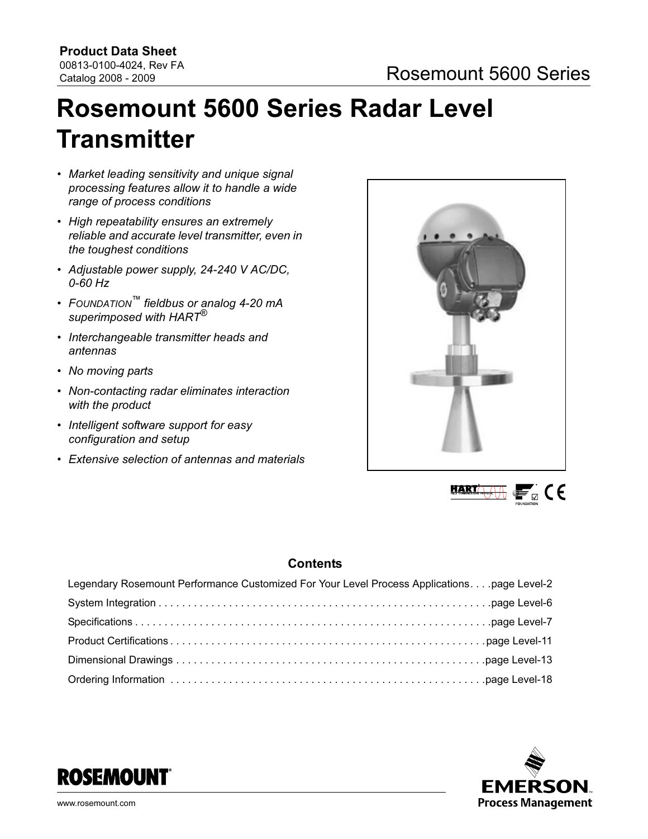# Rosemount 5600 Series Radar Level **Transmitter**

- Market leading sensitivity and unique signal processing features allow it to handle a wide range of process conditions
- High repeatability ensures an extremely reliable and accurate level transmitter, even in the toughest conditions
- Adjustable power supply, 24-240 V AC/DC, 0-60 Hz
- FOUNDATION™ fieldbus or analog 4-20 mA superimposed with HART $^{\circledR}$
- Interchangeable transmitter heads and antennas
- No moving parts
- Non-contacting radar eliminates interaction with the product
- Intelligent software support for easy configuration and setup
- Extensive selection of antennas and materials





## **Contents**

| Legendary Rosemount Performance Customized For Your Level Process Applicationspage Level-2 |
|--------------------------------------------------------------------------------------------|
|                                                                                            |
|                                                                                            |
|                                                                                            |
|                                                                                            |
|                                                                                            |
|                                                                                            |



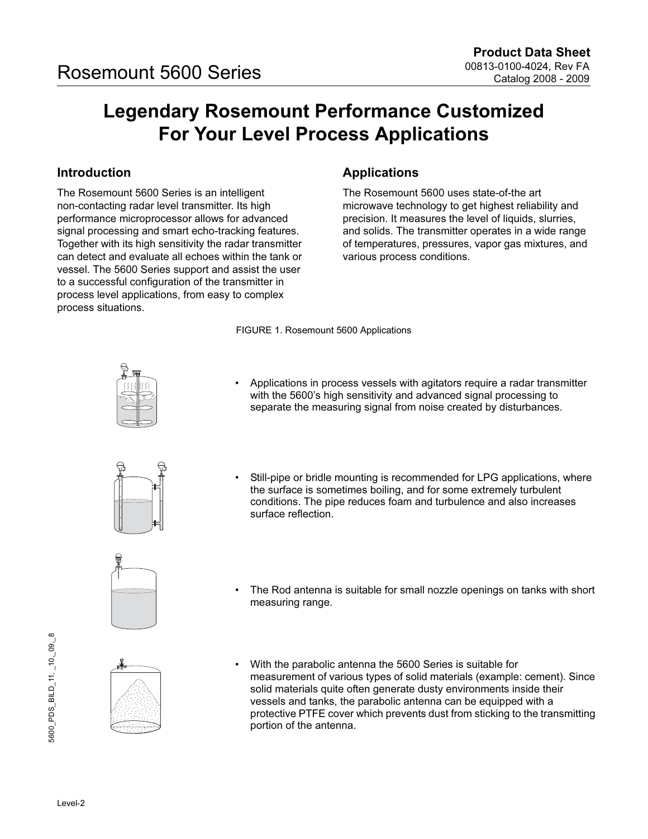## <span id="page-1-0"></span>Legendary Rosemount Performance Customized For Your Level Process Applications

## Introduction

The Rosemount 5600 Series is an intelligent non-contacting radar level transmitter. Its high performance microprocessor allows for advanced signal processing and smart echo-tracking features. Together with its high sensitivity the radar transmitter can detect and evaluate all echoes within the tank or vessel. The 5600 Series support and assist the user to a successful configuration of the transmitter in process level applications, from easy to complex process situations.

## Applications

The Rosemount 5600 uses state-of-the art microwave technology to get highest reliability and precision. It measures the level of liquids, slurries, and solids. The transmitter operates in a wide range of temperatures, pressures, vapor gas mixtures, and various process conditions.

FIGURE 1. Rosemount 5600 Applications

• Applications in process vessels with agitators require a radar transmitter with the 5600's high sensitivity and advanced signal processing to separate the measuring signal from noise created by disturbances.



- 
- Still-pipe or bridle mounting is recommended for LPG applications, where the surface is sometimes boiling, and for some extremely turbulent conditions. The pipe reduces foam and turbulence and also increases surface reflection.
- The Rod antenna is suitable for small nozzle openings on tanks with short measuring range.
- 
- With the parabolic antenna the 5600 Series is suitable for measurement of various types of solid materials (example: cement). Since solid materials quite often generate dusty environments inside their vessels and tanks, the parabolic antenna can be equipped with a protective PTFE cover which prevents dust from sticking to the transmitting portion of the antenna.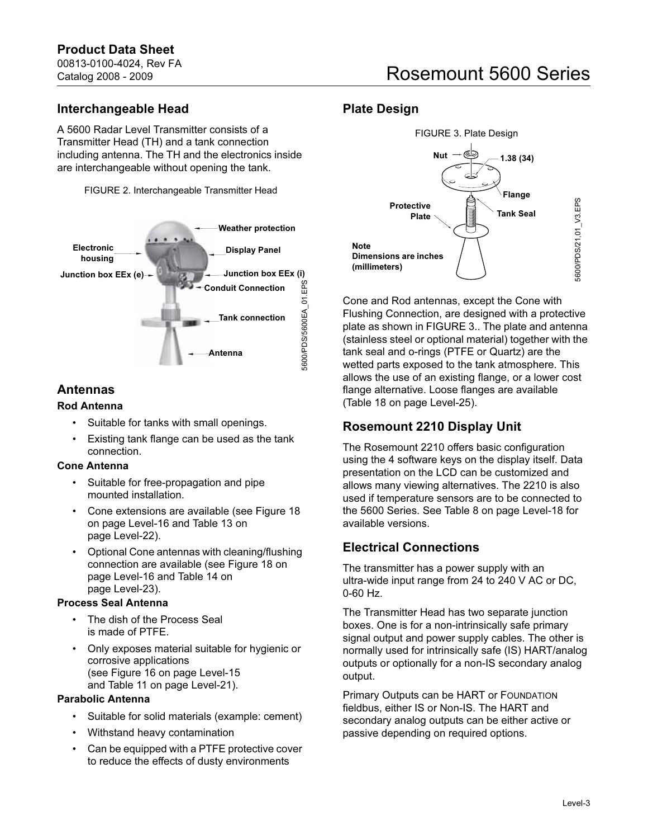Catalog 2008 - 2009

## Interchangeable Head

A 5600 Radar Level Transmitter consists of a Transmitter Head (TH) and a tank connection including antenna. The TH and the electronics inside are interchangeable without opening the tank.

FIGURE 2. Interchangeable Transmitter Head



## Antennas

### Rod Antenna

- Suitable for tanks with small openings.
- Existing tank flange can be used as the tank connection.

### Cone Antenna

- Suitable for free-propagation and pipe mounted installation.
- Cone extensions are available (see [Figure 18](#page-15-0)  [on page Level-16](#page-15-0) and [Table 13 on](#page-21-0)  [page Level-22\)](#page-21-0).
- Optional Cone antennas with cleaning/flushing connection are available (see [Figure 18 on](#page-15-0)  [page Level-16](#page-15-0) and [Table 14 on](#page-22-0)  [page Level-23\)](#page-22-0).

### Process Seal Antenna

- The dish of the Process Seal is made of PTFE.
- Only exposes material suitable for hygienic or corrosive applications (see [Figure 16 on page Level-15](#page-14-0) and [Table 11 on page Level-21](#page-20-0)).

### Parabolic Antenna

- Suitable for solid materials (example: cement)
- Withstand heavy contamination
- Can be equipped with a PTFE protective cover to reduce the effects of dusty environments

## Plate Design

<span id="page-2-0"></span>

Cone and Rod antennas, except the Cone with Flushing Connection, are designed with a protective plate as shown in [FIGURE 3.](#page-2-0). The plate and antenna (stainless steel or optional material) together with the tank seal and o-rings (PTFE or Quartz) are the wetted parts exposed to the tank atmosphere. This allows the use of an existing flange, or a lower cost flange alternative. Loose flanges are available [\(Table 18 on page Level-25\)](#page-24-0).

## Rosemount 2210 Display Unit

The Rosemount 2210 offers basic configuration using the 4 software keys on the display itself. Data presentation on the LCD can be customized and allows many viewing alternatives. The 2210 is also used if temperature sensors are to be connected to the 5600 Series. See [Table 8 on page Level-18](#page-17-1) for available versions.

## Electrical Connections

The transmitter has a power supply with an ultra-wide input range from 24 to 240 V AC or DC, 0-60 Hz.

The Transmitter Head has two separate junction boxes. One is for a non-intrinsically safe primary signal output and power supply cables. The other is normally used for intrinsically safe (IS) HART/analog outputs or optionally for a non-IS secondary analog output.

Primary Outputs can be HART or FOUNDATION fieldbus, either IS or Non-IS. The HART and secondary analog outputs can be either active or passive depending on required options.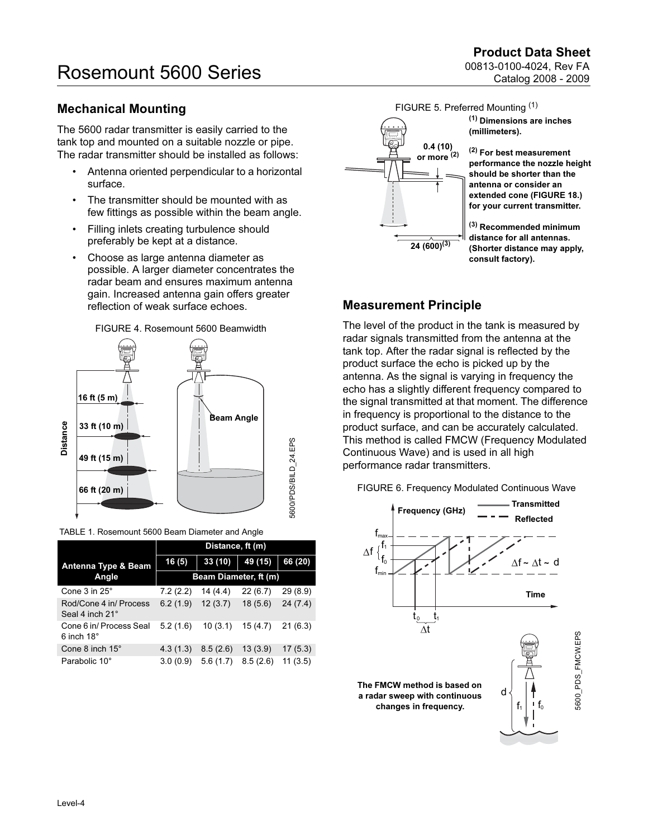## Mechanical Mounting

The 5600 radar transmitter is easily carried to the tank top and mounted on a suitable nozzle or pipe. The radar transmitter should be installed as follows:

- Antenna oriented perpendicular to a horizontal surface.
- The transmitter should be mounted with as few fittings as possible within the beam angle.
- Filling inlets creating turbulence should preferably be kept at a distance.
- Choose as large antenna diameter as possible. A larger diameter concentrates the radar beam and ensures maximum antenna gain. Increased antenna gain offers greater reflection of weak surface echoes.



| TABLE 1. Rosemount 5600 Beam Diameter and Angle |  |  |  |
|-------------------------------------------------|--|--|--|
|                                                 |  |  |  |

|                                              | Distance, ft (m)      |          |          |         |
|----------------------------------------------|-----------------------|----------|----------|---------|
| Antenna Type & Beam                          | 16(5)                 | 33(10)   | 49 (15)  | 66 (20) |
| Angle                                        | Beam Diameter, ft (m) |          |          |         |
| Cone $3$ in $25^\circ$                       | 7.2(2.2)              | 14(4.4)  | 22(6.7)  | 29(8.9) |
| Rod/Cone 4 in/ Process<br>Seal 4 inch 21°    | 6.2(1.9)              | 12(3.7)  | 18(5.6)  | 24(7.4) |
| Cone 6 in/ Process Seal<br>6 inch $18^\circ$ | 5.2(1.6)              | 10(3.1)  | 15(4.7)  | 21(6.3) |
| Cone 8 inch $15^\circ$                       | 4.3(1.3)              | 8.5(2.6) | 13(3.9)  | 17(5.3) |
| Parabolic 10°                                | 3.0(0.9)              | 5.6(1.7) | 8.5(2.6) | 11(3.5) |

FIGURE 5. Preferred Mounting (1)

0.4 (10) or more (2)

 $24 (600)^{(3)}$ 

(1) Dimensions are inches (millimeters).

(2) For best measurement performance the nozzle height should be shorter than the antenna or consider an extended cone [\(FIGURE 18.\)](#page-15-0) for your current transmitter.

(3) Recommended minimum distance for all antennas. (Shorter distance may apply, consult factory).

## Measurement Principle

The level of the product in the tank is measured by radar signals transmitted from the antenna at the tank top. After the radar signal is reflected by the product surface the echo is picked up by the antenna. As the signal is varying in frequency the echo has a slightly different frequency compared to the signal transmitted at that moment. The difference in frequency is proportional to the distance to the product surface, and can be accurately calculated. This method is called FMCW (Frequency Modulated Continuous Wave) and is used in all high performance radar transmitters.

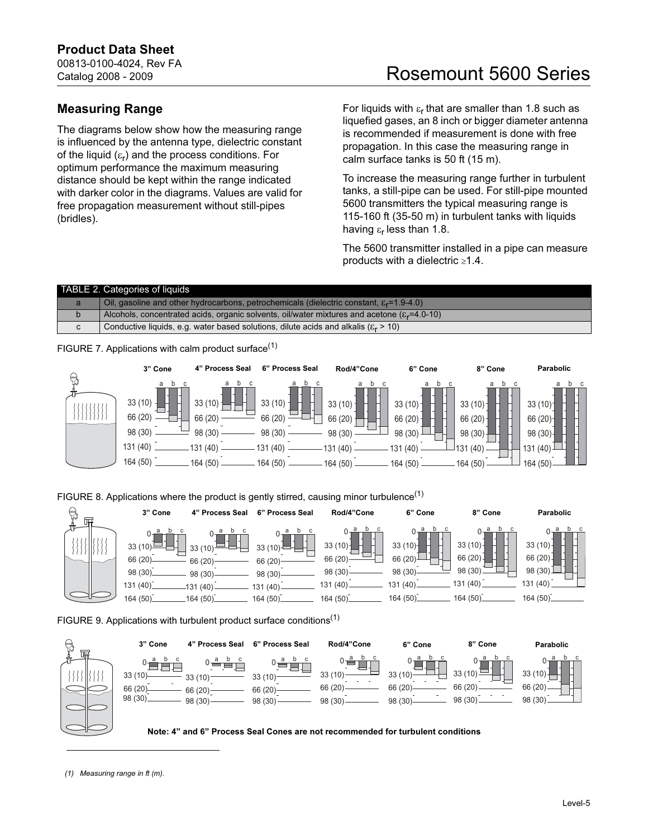## Rosemount 5600 Series

## Measuring Range

The diagrams below show how the measuring range is influenced by the antenna type, dielectric constant of the liquid  $(\varepsilon_r)$  and the process conditions. For optimum performance the maximum measuring distance should be kept within the range indicated with darker color in the diagrams. Values are valid for free propagation measurement without still-pipes (bridles).

For liquids with  $\varepsilon_r$  that are smaller than 1.8 such as liquefied gases, an 8 inch or bigger diameter antenna is recommended if measurement is done with free propagation. In this case the measuring range in calm surface tanks is 50 ft (15 m).

To increase the measuring range further in turbulent tanks, a still-pipe can be used. For still-pipe mounted 5600 transmitters the typical measuring range is 115-160 ft (35-50 m) in turbulent tanks with liquids having  $\varepsilon_r$  less than 1.8.

The 5600 transmitter installed in a pipe can measure products with a dielectric ≥1.4.

|   | TABLE 2. Categories of liquids                                                                            |
|---|-----------------------------------------------------------------------------------------------------------|
| d | Oil, gasoline and other hydrocarbons, petrochemicals (dielectric constant, $\varepsilon_r$ =1.9-4.0)      |
|   | Alcohols, concentrated acids, organic solvents, oil/water mixtures and acetone ( $\varepsilon_r$ =4.0-10) |
|   | Conductive liquids, e.g. water based solutions, dilute acids and alkalis ( $\varepsilon_r$ > 10)          |

FIGURE 7. Applications with calm product surface $(1)$ 



FIGURE 8. Applications where the product is gently stirred, causing minor turbulence<sup>(1)</sup>



FIGURE 9. Applications with turbulent product surface conditions<sup>(1)</sup>



<sup>(1)</sup> Measuring range in ft (m).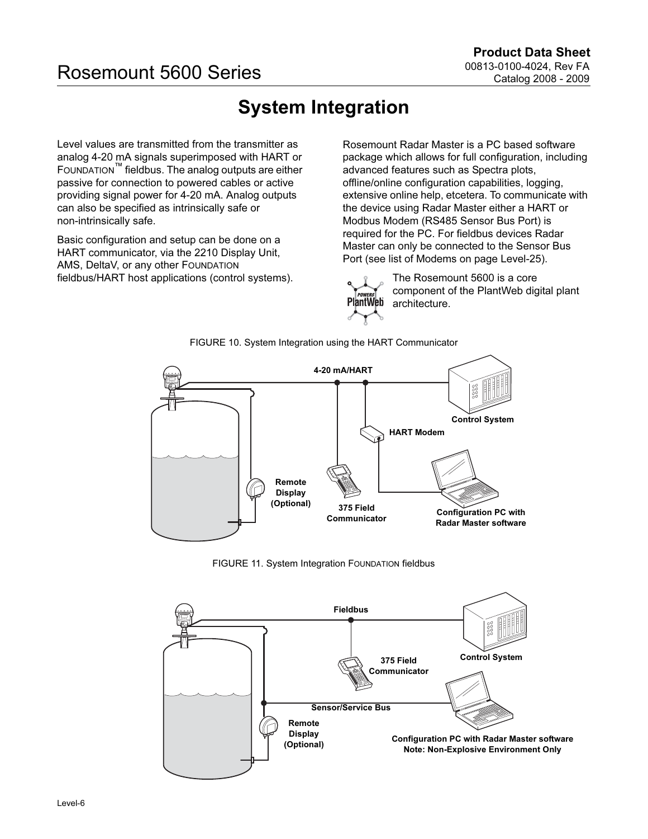## <span id="page-5-0"></span>Rosemount 5600 Series Catalog 200813-0100-4024, Rev FA Catalog 2008 - 2009

## System Integration

Level values are transmitted from the transmitter as analog 4-20 mA signals superimposed with HART or FOUNDATION™ fieldbus. The analog outputs are either passive for connection to powered cables or active providing signal power for 4-20 mA. Analog outputs can also be specified as intrinsically safe or non-intrinsically safe.

Basic configuration and setup can be done on a HART communicator, via the 2210 Display Unit, AMS, DeltaV, or any other FOUNDATION fieldbus/HART host applications (control systems).

Rosemount Radar Master is a PC based software package which allows for full configuration, including advanced features such as Spectra plots, offline/online configuration capabilities, logging, extensive online help, etcetera. To communicate with the device using Radar Master either a HART or Modbus Modem (RS485 Sensor Bus Port) is required for the PC. For fieldbus devices Radar Master can only be connected to the Sensor Bus Port (see list of Modems on [page Level-25\)](#page-24-1).



The Rosemount 5600 is a core component of the PlantWeb digital plant architecture.



FIGURE 10. System Integration using the HART Communicator

FIGURE 11. System Integration FOUNDATION fieldbus

<span id="page-5-1"></span>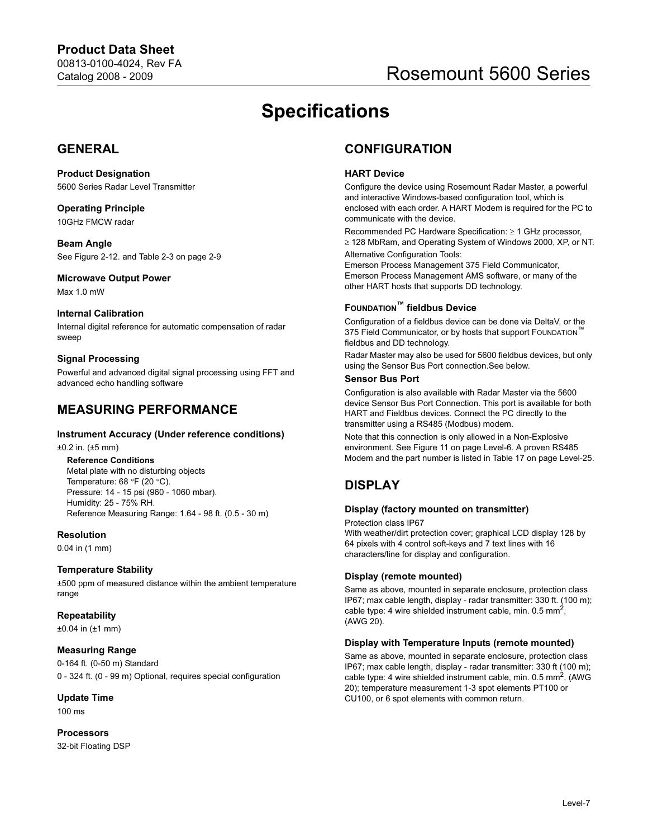## **Specifications**

### <span id="page-6-0"></span>**GENERAL**

Product Designation 5600 Series Radar Level Transmitter

### Operating Principle 10GHz FMCW radar

Beam Angle See Figure 2-12. and Table 2-3 on page 2-9

### Microwave Output Power Max 1.0 mW

### Internal Calibration

Internal digital reference for automatic compensation of radar sweep

### Signal Processing

Powerful and advanced digital signal processing using FFT and advanced echo handling software

### MEASURING PERFORMANCE

#### Instrument Accuracy (Under reference conditions)

±0.2 in. (±5 mm)

Reference Conditions Metal plate with no disturbing objects Temperature: 68 °F (20 °C). Pressure: 14 - 15 psi (960 - 1060 mbar). Humidity: 25 - 75% RH. Reference Measuring Range: 1.64 - 98 ft. (0.5 - 30 m)

### Resolution

0.04 in (1 mm)

### Temperature Stability

±500 ppm of measured distance within the ambient temperature range

### Repeatability

±0.04 in (±1 mm)

### Measuring Range

0-164 ft. (0-50 m) Standard 0 - 324 ft. (0 - 99 m) Optional, requires special configuration

### Update Time

100 ms

**Processors** 

32-bit Floating DSP

### **CONFIGURATION**

### HART Device

Configure the device using Rosemount Radar Master, a powerful and interactive Windows-based configuration tool, which is enclosed with each order. A HART Modem is required for the PC to communicate with the device.

Recommended PC Hardware Specification: ≥ 1 GHz processor, ≥ 128 MbRam, and Operating System of Windows 2000, XP, or NT. Alternative Configuration Tools:

Emerson Process Management 375 Field Communicator, Emerson Process Management AMS software, or many of the other HART hosts that supports DD technology.

### FOUNDATION™ fieldbus Device

Configuration of a fieldbus device can be done via DeltaV, or the 375 Field Communicator, or by hosts that support FOUNDATION<sup>™</sup> fieldbus and DD technology.

Radar Master may also be used for 5600 fieldbus devices, but only using the Sensor Bus Port connection.See below.

### Sensor Bus Port

Configuration is also available with Radar Master via the 5600 device Sensor Bus Port Connection. This port is available for both HART and Fieldbus devices. Connect the PC directly to the transmitter using a RS485 (Modbus) modem.

Note that this connection is only allowed in a Non-Explosive environment. See [Figure 11 on page Level-6](#page-5-1). A proven RS485 Modem and the part number is listed in [Table 17 on page Level-25.](#page-24-2)

## DISPLAY

### Display (factory mounted on transmitter)

Protection class IP67

With weather/dirt protection cover; graphical LCD display 128 by 64 pixels with 4 control soft-keys and 7 text lines with 16 characters/line for display and configuration.

### Display (remote mounted)

Same as above, mounted in separate enclosure, protection class IP67; max cable length, display - radar transmitter: 330 ft. (100 m); cable type: 4 wire shielded instrument cable, min.  $0.5 \text{ mm}^2$ , (AWG 20).

### Display with Temperature Inputs (remote mounted)

Same as above, mounted in separate enclosure, protection class IP67; max cable length, display - radar transmitter: 330 ft (100 m); cable type: 4 wire shielded instrument cable, min.  $0.5 \text{ mm}^2$ , (AWG 20); temperature measurement 1-3 spot elements PT100 or CU100, or 6 spot elements with common return.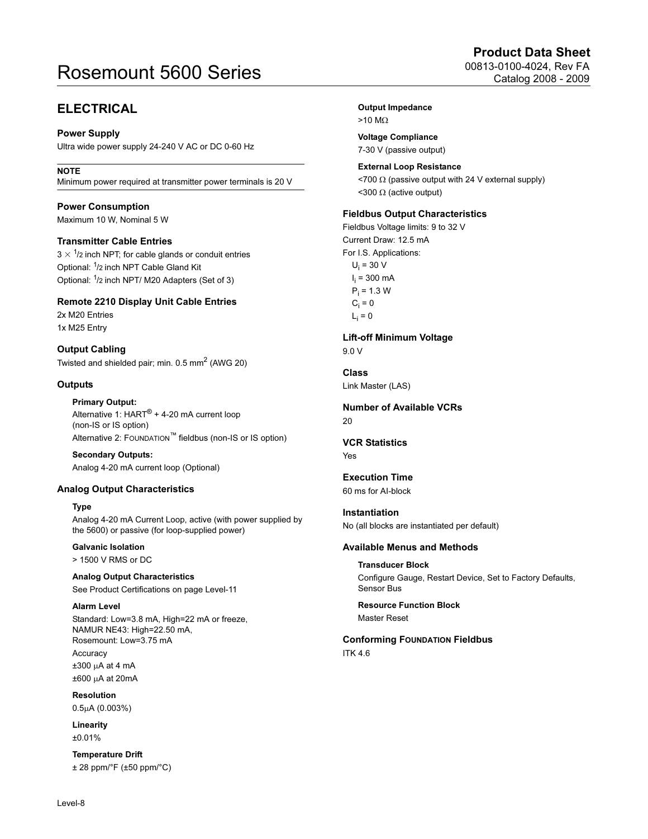## Rosemount 5600 Series Catalog 200813-0100-4024, Rev FA

## ELECTRICAL

Power Supply

Ultra wide power supply 24-240 V AC or DC 0-60 Hz

**NOTE** Minimum power required at transmitter power terminals is 20 V

Power Consumption Maximum 10 W, Nominal 5 W

### Transmitter Cable Entries

3  $\times$  <sup>1</sup>/2 inch NPT; for cable glands or conduit entries Optional: <sup>1</sup>/2 inch NPT Cable Gland Kit Optional: <sup>1</sup>/2 inch NPT/ M20 Adapters (Set of 3)

Remote 2210 Display Unit Cable Entries 2x M20 Entries 1x M25 Entry

Output Cabling Twisted and shielded pair; min.  $0.5$  mm<sup>2</sup> (AWG 20)

### **Outputs**

Primary Output: Alternative 1: HART<sup>®</sup> + 4-20 mA current loop (non-IS or IS option) Alternative 2: FOUNDATION™ fieldbus (non-IS or IS option)

Secondary Outputs: Analog 4-20 mA current loop (Optional)

### Analog Output Characteristics

### Type

Analog 4-20 mA Current Loop, active (with power supplied by the 5600) or passive (for loop-supplied power)

### Galvanic Isolation

> 1500 V RMS or DC

### Analog Output Characteristics

See [Product Certifications on page Level-11](#page-10-0)

Alarm Level Standard: Low=3.8 mA, High=22 mA or freeze, NAMUR NE43: High=22.50 mA, Rosemount: Low=3.75 mA Accuracy  $±300 \mu A$  at 4 mA ±600 µA at 20mA

Resolution 0.5µA (0.003%)

Linearity ±0.01%

Temperature Drift ± 28 ppm/°F (±50 ppm/°C)

### Output Impedance >10 MΩ

Voltage Compliance 7-30 V (passive output)

External Loop Resistance

<700 Ω (passive output with 24 V external supply) <300 Ω (active output)

### Fieldbus Output Characteristics

Fieldbus Voltage limits: 9 to 32 V Current Draw: 12.5 mA For I.S. Applications:  $U_i$  = 30 V l<sub>i</sub> = 300 mA  $P_i$  = 1.3 W  $C_i = 0$  $L_i = 0$ 

Lift-off Minimum Voltage

9.0 V

### Class

Link Master (LAS)

### Number of Available VCRs 20

VCR Statistics Yes

Execution Time 60 ms for AI-block

Instantiation No (all blocks are instantiated per default)

### Available Menus and Methods

Transducer Block Configure Gauge, Restart Device, Set to Factory Defaults, Sensor Bus

Resource Function Block Master Reset

Conforming FOUNDATION Fieldbus ITK 4.6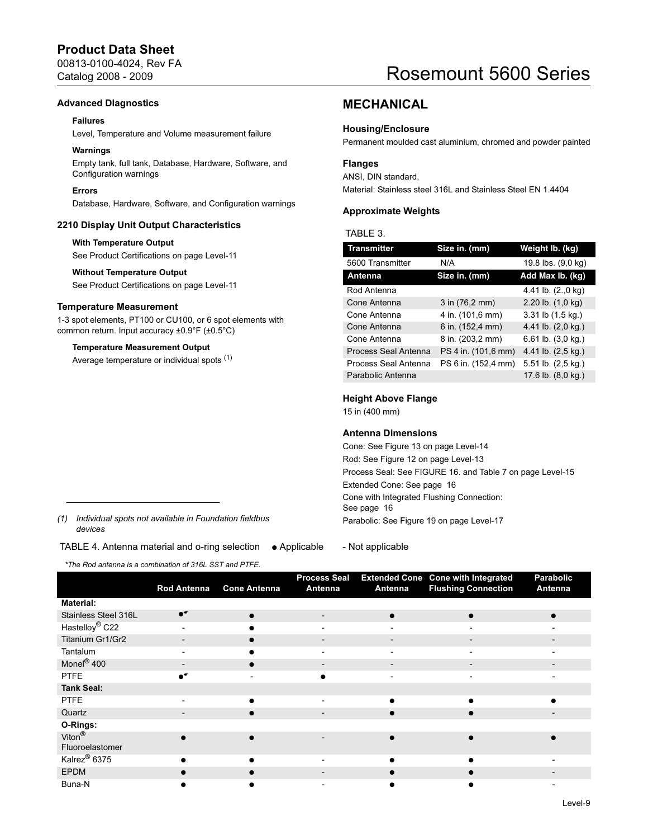## Product Data Sheet

00813-0100-4024, Rev FA Catalog 2008 - 2009

## Rosemount 5600 Series

### Advanced Diagnostics

### Failures

Level, Temperature and Volume measurement failure

### Warnings

Empty tank, full tank, Database, Hardware, Software, and Configuration warnings

### Errors

Database, Hardware, Software, and Configuration warnings

### 2210 Display Unit Output Characteristics

#### With Temperature Output

See [Product Certifications on page Level-11](#page-10-0)

#### Without Temperature Output

See [Product Certifications on page Level-11](#page-10-0)

#### Temperature Measurement

1-3 spot elements, PT100 or CU100, or 6 spot elements with common return. Input accuracy ±0.9°F (±0.5°C)

### Temperature Measurement Output

Average temperature or individual spots (1)

## MECHANICAL

### Housing/Enclosure

Permanent moulded cast aluminium, chromed and powder painted

### Flanges

ANSI, DIN standard, Material: Stainless steel 316L and Stainless Steel EN 1.4404

### Approximate Weights

### TABLE 3.

| Transmitter                 | Size in. (mm)       | Weight Ib. (kg)                |
|-----------------------------|---------------------|--------------------------------|
| 5600 Transmitter            | N/A                 | 19.8 lbs. (9,0 kg)             |
| Antenna                     | Size in. (mm)       | Add Max Ib. (kg)               |
| Rod Antenna                 |                     | 4.41 lb. $(2.,0 \text{ kg})$   |
| Cone Antenna                | 3 in (76,2 mm)      | 2.20 lb. (1,0 kg)              |
| Cone Antenna                | 4 in. (101,6 mm)    | 3.31 lb (1,5 kg.)              |
| Cone Antenna                | 6 in. (152,4 mm)    | 4.41 lb. (2,0 kg.)             |
| Cone Antenna                | 8 in. (203,2 mm)    | $6.61$ lb. $(3.0 \text{ kg.})$ |
| <b>Process Seal Antenna</b> | PS 4 in. (101,6 mm) | 4.41 lb. (2,5 kg.)             |
| Process Seal Antenna        | PS 6 in. (152,4 mm) | 5.51 lb. (2,5 kg.)             |
| Parabolic Antenna           |                     | 17.6 lb. (8,0 kg.)             |

### Height Above Flange

15 in (400 mm)

### Antenna Dimensions

Cone: See [Figure 13 on page Level-14](#page-13-0) Rod: See [Figure 12 on page Level-13](#page-12-1) Process Seal: See [FIGURE 16.](#page-14-0) and [Table 7 on page Level-15](#page-14-1) Extended Cone: See [page 16](#page-15-1) Cone with Integrated Flushing Connection: See [page 16](#page-15-0)

(1) Individual spots not available in Foundation fieldbus Parabolic: See [Figure 19 on page Level-17](#page-16-0) devices

TABLE 4. Antenna material and o-ring selection ● Applicable - Not applicable

\*The Rod antenna is a combination of 316L SST and PTFE.

Rod Antenna Cone Antenna Process Seal Antenna Extended Cone Antenna Cone with Integrated Flushing Connection Parabolic Antenna Material: Stainless Steel 316L ● ● ● ● ● Hastelloy® C22 - ● - - - - Titanium Gr1/Gr2 → - → → → ● Tantalum - ● - - - - Monel® 400 - ● - - - - PTFE ●☛ - ● - - - Tank Seal: PTFE - ● - ● ● ● Quartz - - ● - ● ● ● ● ● O-Rings: Viton<sup>®</sup> Fluoroelastomer ● ● - ● ● ● Kalrez® 6375 ● ● - ● ● -  $\qquad \qquad \bullet$   $\qquad \bullet$   $\qquad \bullet$   $\qquad \bullet$   $\qquad \bullet$   $\qquad \bullet$   $\qquad \bullet$   $\qquad \bullet$   $\qquad \bullet$   $\qquad \bullet$ Buna-N ● ● - ● ● -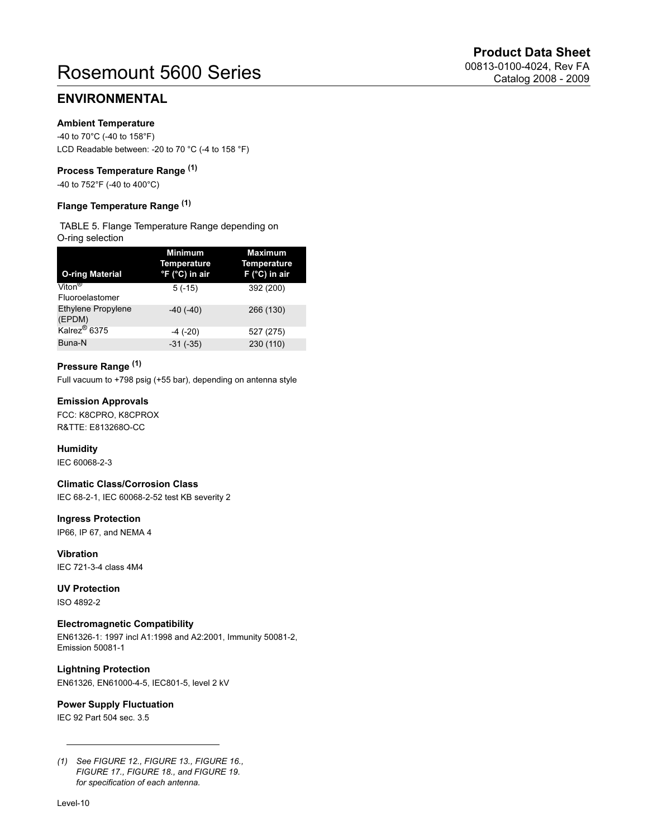## Rosemount 5600 Series Catalog 200813-0100-4024, Rev FA

## ENVIRONMENTAL

### Ambient Temperature

-40 to 70°C (-40 to 158°F) LCD Readable between: -20 to 70 °C (-4 to 158 °F)

### Process Temperature Range (1)

-40 to 752°F (-40 to 400°C)

### Flange Temperature Range (1)

### TABLE 5. Flange Temperature Range depending on O-ring selection

| <b>O-ring Material</b>                | <b>Minimum</b><br><b>Temperature</b><br>°F (°C) in air | <b>Maximum</b><br><b>Temperature</b><br>$F$ (°C) in air |
|---------------------------------------|--------------------------------------------------------|---------------------------------------------------------|
| Viton <sup>®</sup><br>Fluoroelastomer | $5(-15)$                                               | 392 (200)                                               |
| <b>Ethylene Propylene</b><br>(EPDM)   | $-40(-40)$                                             | 266 (130)                                               |
| Kalrez <sup>®</sup> 6375              | $-4$ $(-20)$                                           | 527 (275)                                               |
| Buna-N                                | $-31$ $(-35)$                                          | 230 (110)                                               |

### Pressure Range (1)

Full vacuum to +798 psig (+55 bar), depending on antenna style

### Emission Approvals

FCC: K8CPRO, K8CPROX R&TTE: E813268O-CC

### **Humidity**

IEC 60068-2-3

### Climatic Class/Corrosion Class

IEC 68-2-1, IEC 60068-2-52 test KB severity 2

### Ingress Protection

IP66, IP 67, and NEMA 4

Vibration IEC 721-3-4 class 4M4

### UV Protection

ISO 4892-2

### Electromagnetic Compatibility

EN61326-1: 1997 incl A1:1998 and A2:2001, Immunity 50081-2, Emission 50081-1

### Lightning Protection

EN61326, EN61000-4-5, IEC801-5, level 2 kV

### Power Supply Fluctuation

IEC 92 Part 504 sec. 3.5

<sup>(1)</sup> See [FIGURE 12.](#page-12-1), [FIGURE 13.,](#page-13-0) [FIGURE 16.,](#page-14-0) [FIGURE 17.,](#page-15-1) [FIGURE 18.,](#page-15-0) and [FIGURE 19.](#page-16-0) for specification of each antenna.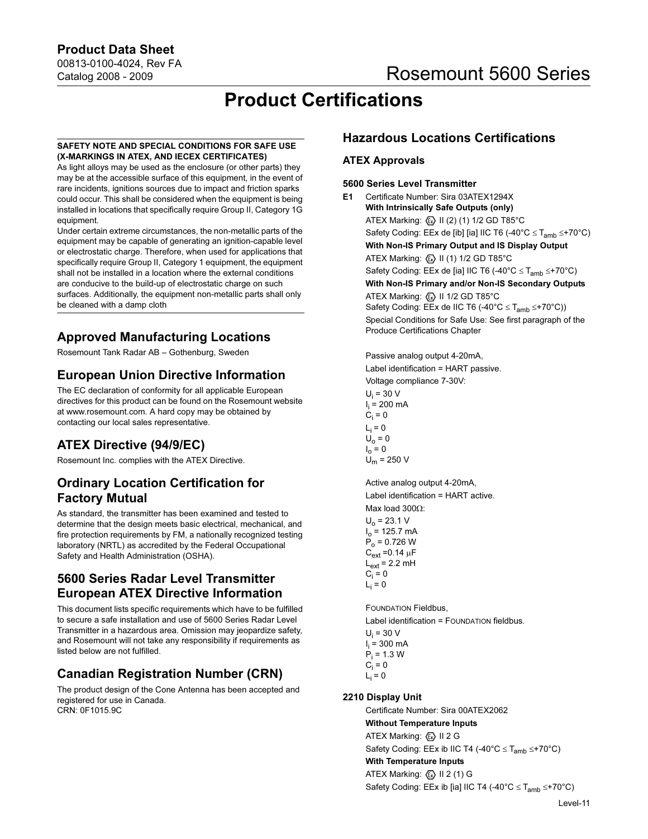<span id="page-10-0"></span>Product Data Sheet 00813-0100-4024, Rev FA Catalog 2008 - 2009

## Product Certifications

### SAFETY NOTE AND SPECIAL CONDITIONS FOR SAFE USE (X-MARKINGS IN ATEX, AND IECEX CERTIFICATES)

As light alloys may be used as the enclosure (or other parts) they may be at the accessible surface of this equipment, in the event of rare incidents, ignitions sources due to impact and friction sparks could occur. This shall be considered when the equipment is being installed in locations that specifically require Group II, Category 1G equipment.

Under certain extreme circumstances, the non-metallic parts of the equipment may be capable of generating an ignition-capable level or electrostatic charge. Therefore, when used for applications that specifically require Group II, Category 1 equipment, the equipment shall not be installed in a location where the external conditions are conducive to the build-up of electrostatic charge on such surfaces. Additionally, the equipment non-metallic parts shall only be cleaned with a damp cloth

## Approved Manufacturing Locations

Rosemount Tank Radar AB – Gothenburg, Sweden

### European Union Directive Information

The EC declaration of conformity for all applicable European directives for this product can be found on the Rosemount website at www.rosemount.com. A hard copy may be obtained by contacting our local sales representative.

## ATEX Directive (94/9/EC)

Rosemount Inc. complies with the ATEX Directive.

## Ordinary Location Certification for Factory Mutual

As standard, the transmitter has been examined and tested to determine that the design meets basic electrical, mechanical, and fire protection requirements by FM, a nationally recognized testing laboratory (NRTL) as accredited by the Federal Occupational Safety and Health Administration (OSHA).

## 5600 Series Radar Level Transmitter European ATEX Directive Information

This document lists specific requirements which have to be fulfilled to secure a safe installation and use of 5600 Series Radar Level Transmitter in a hazardous area. Omission may jeopardize safety, and Rosemount will not take any responsibility if requirements as listed below are not fulfilled.

## Canadian Registration Number (CRN)

The product design of the Cone Antenna has been accepted and registered for use in Canada. CRN: 0F1015.9C

### Hazardous Locations Certifications

### ATEX Approvals

### 5600 Series Level Transmitter

E1 Certificate Number: Sira 03ATEX1294X With Intrinsically Safe Outputs (only) ATEX Marking:  $\textcircled{k}$  II (2) (1) 1/2 GD T85°C Safety Coding: EEx de [ib] [ia] IIC T6 (-40°C ≤ T<sub>amb</sub> ≤+70°C) With Non-IS Primary Output and IS Display Output ATEX Marking:  $\langle \overline{\mathbb{Q}} \rangle$  II (1) 1/2 GD T85°C Safety Coding: EEx de [ia] IIC T6 (-40°C  $\leq$  T<sub>amb</sub>  $\leq$ +70°C) With Non-IS Primary and/or Non-IS Secondary Outputs ATEX Marking:  $\langle \overline{x} \rangle$  II 1/2 GD T85°C Safety Coding: EEx de IIC T6 (-40°C  $\leq$  T<sub>amb</sub>  $\leq$ +70°C)) Special Conditions for Safe Use: See first paragraph of the Produce Certifications Chapter

Passive analog output 4-20mA, Label identification = HART passive. Voltage compliance 7-30V: U<sub>i</sub> = 30 V l<sub>i</sub> = 200 mA  $C_i = 0$  $L_i = 0$  $U_0 = 0$  $I_0 = 0$  $U_m = 250 V$ 

Active analog output 4-20mA, Label identification = HART active. Max load 300Ω:  $U_0 = 23.1 V$  $I_0 = 125.7$  mA  $P_0 = 0.726 W$  $C_{ext}$  =0.14  $\mu$ F  $L_{ext}$  = 2.2 mH  $C_i = 0$  $\mathsf{L}_{\mathsf{i}} = \mathsf{0}$ 

FOUNDATION Fieldbus,

Label identification = FOUNDATION fieldbus.

 $U_i$  = 30 V l<sub>i</sub> = 300 mA P<sub>i</sub> = 1.3 W  $C_i = 0$  $L_i = 0$ 

### 2210 Display Unit

Certificate Number: Sira 00ATEX2062 Without Temperature Inputs ATEX Marking:  $\langle \overline{\mathbb{Q}}_k \rangle$  II 2 G Safety Coding: EEx ib IIC T4 (-40°C  $\leq$  T<sub>amb</sub>  $\leq$ +70°C) With Temperature Inputs ATEX Marking:  $\langle \overline{\mathbb{Q}} \rangle$  II 2 (1) G Safety Coding: EEx ib [ia] IIC T4 (-40°C  $\leq$  T<sub>amb</sub>  $\leq$ +70°C)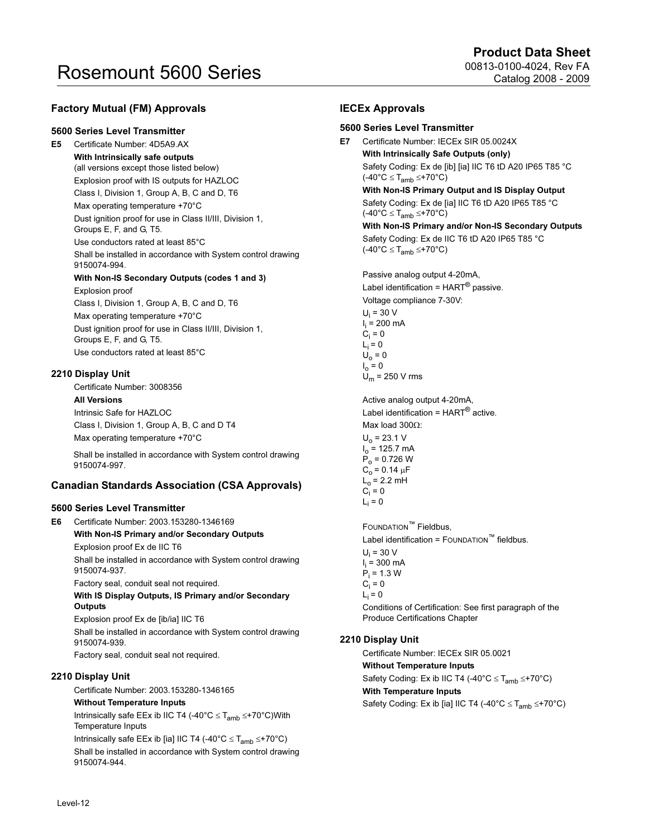### Factory Mutual (FM) Approvals

### 5600 Series Level Transmitter

E5 Certificate Number: 4D5A9.AX

With Intrinsically safe outputs (all versions except those listed below) Explosion proof with IS outputs for HAZLOC Class I, Division 1, Group A, B, C and D, T6 Max operating temperature +70°C Dust ignition proof for use in Class II/III, Division 1, Groups E, F, and G, T5. Use conductors rated at least 85°C Shall be installed in accordance with System control drawing 9150074-994. With Non-IS Secondary Outputs (codes 1 and 3) Explosion proof Class I, Division 1, Group A, B, C and D, T6 Max operating temperature +70°C Dust ignition proof for use in Class II/III, Division 1, Groups E, F, and G, T5. Use conductors rated at least 85°C

### 2210 Display Unit

Certificate Number: 3008356

#### All Versions

Intrinsic Safe for HAZLOC Class I, Division 1, Group A, B, C and D T4 Max operating temperature +70°C

Shall be installed in accordance with System control drawing 9150074-997.

### Canadian Standards Association (CSA Approvals)

#### 5600 Series Level Transmitter

E6 Certificate Number: 2003.153280-1346169

With Non-IS Primary and/or Secondary Outputs

Explosion proof Ex de IIC T6

Shall be installed in accordance with System control drawing 9150074-937.

Factory seal, conduit seal not required.

With IS Display Outputs, IS Primary and/or Secondary **Outputs** 

Explosion proof Ex de [ib/ia] IIC T6 Shall be installed in accordance with System control drawing 9150074-939.

Factory seal, conduit seal not required.

### 2210 Display Unit

Certificate Number: 2003.153280-1346165

### Without Temperature Inputs

Intrinsically safe EEx ib IIC T4 (-40°C  $\leq$  T<sub>amb</sub>  $\leq$ +70°C)With Temperature Inputs

Intrinsically safe EEx ib [ia] IIC T4 (-40°C  $\leq$  T<sub>amb</sub>  $\leq$ +70°C) Shall be installed in accordance with System control drawing 9150074-944.

### IECEx Approvals

### 5600 Series Level Transmitter

E7 Certificate Number: IECEx SIR 05.0024X With Intrinsically Safe Outputs (only) Safety Coding: Ex de [ib] [ia] IIC T6 tD A20 IP65 T85 °C  $(-40^{\circ}C \leq T_{amb} \leq +70^{\circ}C)$ With Non-IS Primary Output and IS Display Output Safety Coding: Ex de [ia] IIC T6 tD A20 IP65 T85 °C  $(-40^{\circ}C \leq T_{amb} \leq +70^{\circ}C)$ With Non-IS Primary and/or Non-IS Secondary Outputs Safety Coding: Ex de IIC T6 tD A20 IP65 T85 °C (-40°C  $\leq$  T<sub>amb</sub>  $\leq$ +70°C) Passive analog output 4-20mA, Label identification =  $HART^{\circledR}$  passive. Voltage compliance 7-30V:  $U_i$  = 30 V

l<sub>i</sub> = 200 mA  $C_i = 0$  $L_i = 0$  $U_o = 0$  $I_0 = 0$  $U_m$  = 250 V rms

Active analog output 4-20mA, Label identification =  $HART^{\circledR}$  active. Max load 300Ω:  $U_0$  = 23.1 V  $I_0 = 125.7$  mA  $P_0 = 0.726 W$  $C_0 = 0.14 \mu F$  $L_0 = 2.2$  mH  $C_i = 0$  $L_i = 0$ 

FOUNDATION™ Fieldbus,

Label identification =  $F$ OUNDATION<sup>™</sup> fieldbus. U<sub>i</sub> = 30 V l<sub>i</sub> = 300 mA P<sub>i</sub> = 1.3 W  $C_i = 0$  $L_i = 0$ Conditions of Certification: See first paragraph of the Produce Certifications Chapter

### 2210 Display Unit

Certificate Number: IECEx SIR 05.0021 Without Temperature Inputs Safety Coding: Ex ib IIC T4 (-40°C  $\leq$  T<sub>amb</sub>  $\leq$ +70°C) With Temperature Inputs Safety Coding: Ex ib [ia] IIC T4 (-40°C  $\leq$  T<sub>amb</sub>  $\leq$ +70°C)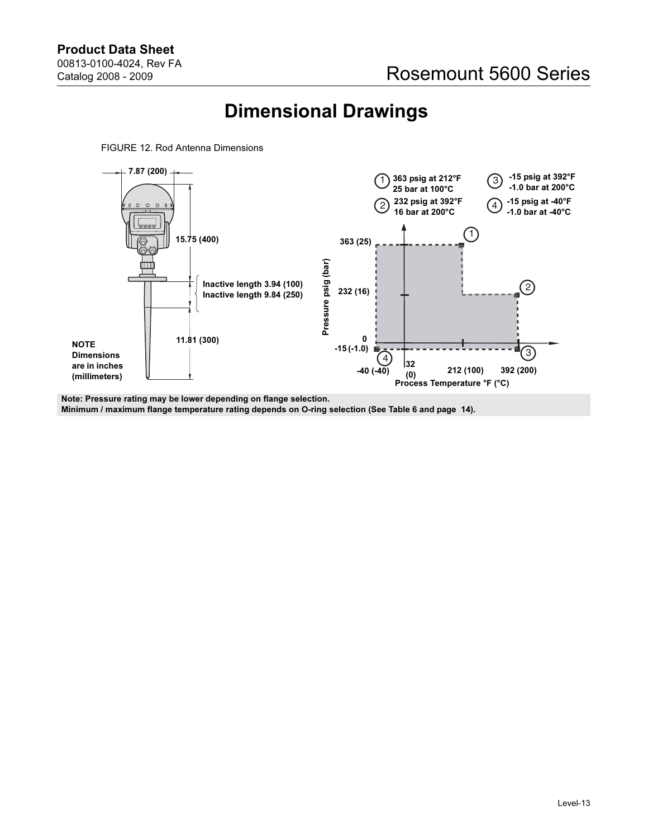<span id="page-12-0"></span>FIGURE 12. Rod Antenna Dimensions

## Dimensional Drawings

<span id="page-12-1"></span>

Note: Pressure rating may be lower depending on flange selection. Minimum / maximum flange temperature rating depends on O-ring selection (See [Table 6](#page-13-1) and [page 14\)](#page-13-2).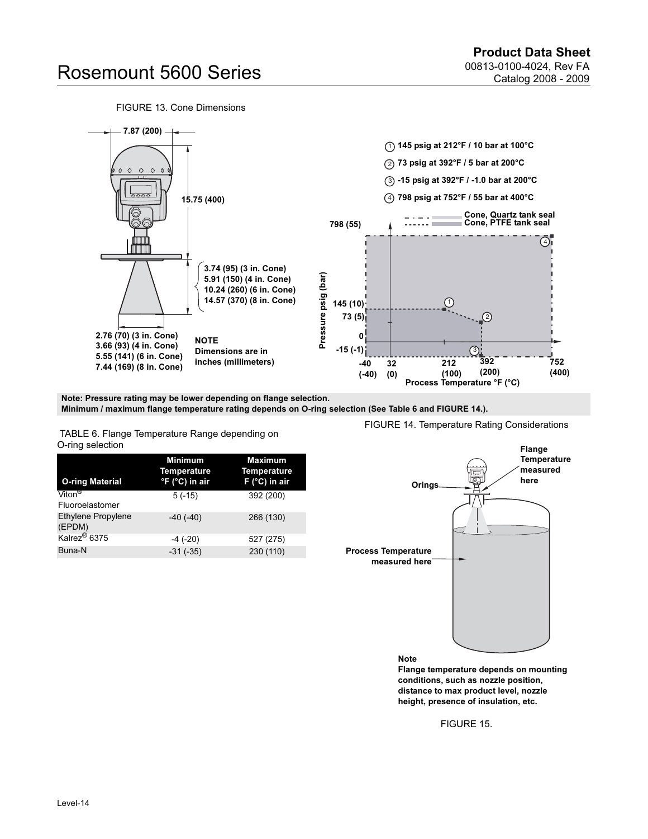FIGURE 13. Cone Dimensions

<span id="page-13-0"></span>

Note: Pressure rating may be lower depending on flange selection.

Minimum / maximum flange temperature rating depends on O-ring selection (See [Table 6](#page-13-1) and [FIGURE 14.](#page-13-2)).

<span id="page-13-1"></span> TABLE 6. Flange Temperature Range depending on O-ring selection

| <b>O-ring Material</b>                | <b>Minimum</b><br><b>Temperature</b><br>°F (°C) in air | <b>Maximum</b><br><b>Temperature</b><br>$F$ (°C) in air |
|---------------------------------------|--------------------------------------------------------|---------------------------------------------------------|
| Viton <sup>®</sup><br>Fluoroelastomer | $5(-15)$                                               | 392 (200)                                               |
| <b>Ethylene Propylene</b><br>(EPDM)   | $-40(-40)$                                             | 266 (130)                                               |
| Kalrez <sup>®</sup> 6375              | $-4$ $(-20)$                                           | 527 (275)                                               |
| Buna-N                                | $-31(-35)$                                             | 230 (110)                                               |

<span id="page-13-2"></span>FIGURE 14. Temperature Rating Considerations



Flange temperature depends on mounting conditions, such as nozzle position, distance to max product level, nozzle height, presence of insulation, etc.

FIGURE 15.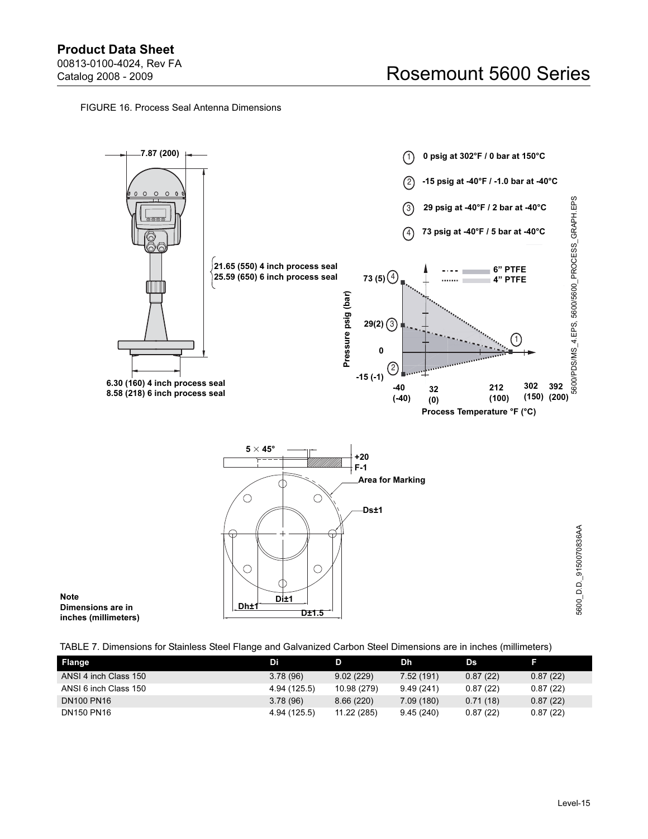### <span id="page-14-0"></span>FIGURE 16. Process Seal Antenna Dimensions



Note Dimensions are in inches (millimeters)

<span id="page-14-1"></span>

| TABLE 7. Dimensions for Stainless Steel Flange and Galvanized Carbon Steel Dimensions are in inches (millimeters) |  |
|-------------------------------------------------------------------------------------------------------------------|--|
|-------------------------------------------------------------------------------------------------------------------|--|

D±1.5

| Flange                | Di           | D           | Dh        | Ds       |          |
|-----------------------|--------------|-------------|-----------|----------|----------|
| ANSI 4 inch Class 150 | 3.78(96)     | 9.02(229)   | 7.52(191) | 0.87(22) | 0.87(22) |
| ANSI 6 inch Class 150 | 4.94 (125.5) | 10.98 (279) | 9.49(241) | 0.87(22) | 0.87(22) |
| <b>DN100 PN16</b>     | 3.78(96)     | 8.66(220)   | 7.09(180) | 0.71(18) | 0.87(22) |
| <b>DN150 PN16</b>     | 4.94 (125.5) | 11.22 (285) | 9.45(240) | 0.87(22) | 0.87(22) |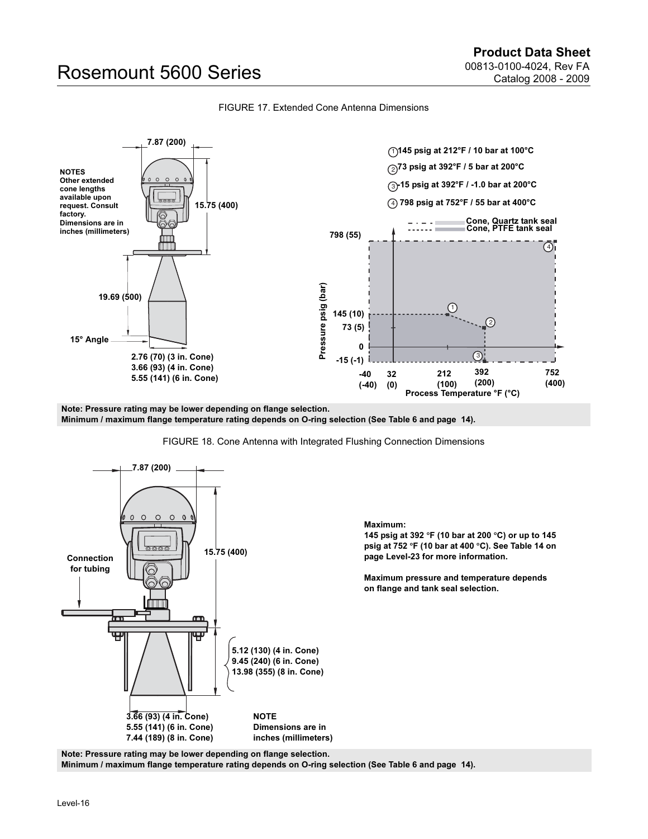<span id="page-15-1"></span>

FIGURE 17. Extended Cone Antenna Dimensions

Note: Pressure rating may be lower depending on flange selection. Minimum / maximum flange temperature rating depends on O-ring selection (See [Table 6](#page-13-1) and [page 14\)](#page-13-2).



<span id="page-15-0"></span>

Note: Pressure rating may be lower depending on flange selection. Minimum / maximum flange temperature rating depends on O-ring selection (See [Table 6](#page-13-1) and [page 14\)](#page-13-2).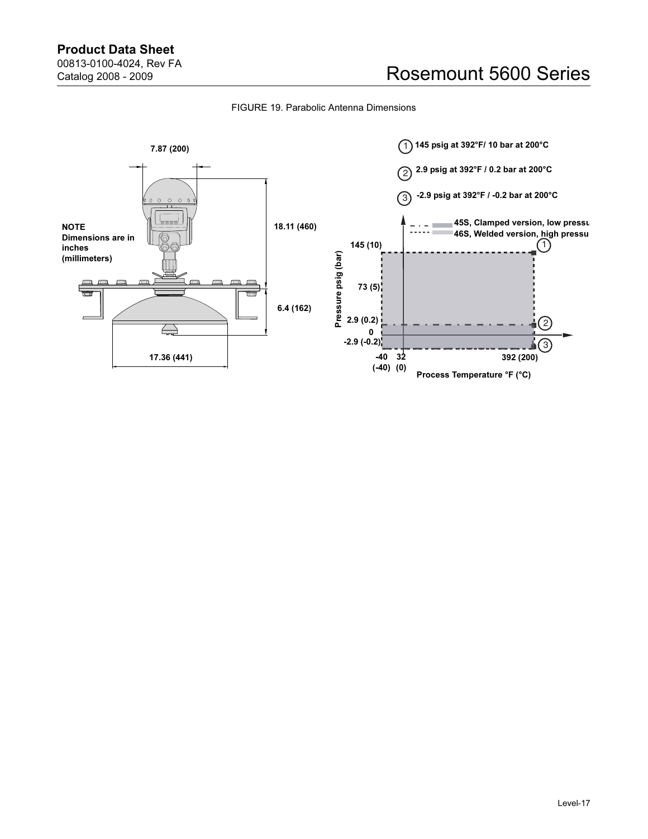## Rosemount 5600 Series

<span id="page-16-0"></span>

FIGURE 19. Parabolic Antenna Dimensions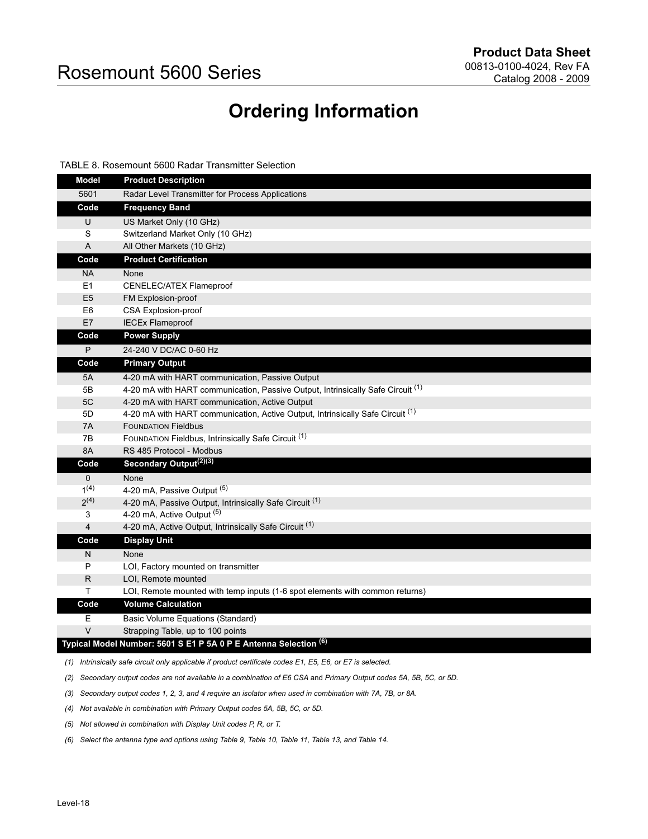## Ordering Information

<span id="page-17-1"></span><span id="page-17-0"></span>TABLE 8. Rosemount 5600 Radar Transmitter Selection

| <b>Model</b>   | <b>Product Description</b>                                                                                 |
|----------------|------------------------------------------------------------------------------------------------------------|
| 5601           | Radar Level Transmitter for Process Applications                                                           |
| Code           | <b>Frequency Band</b>                                                                                      |
| U              | US Market Only (10 GHz)                                                                                    |
| S              | Switzerland Market Only (10 GHz)                                                                           |
| Α              | All Other Markets (10 GHz)                                                                                 |
| Code           | <b>Product Certification</b>                                                                               |
| <b>NA</b>      | None                                                                                                       |
| E1             | <b>CENELEC/ATEX Flameproof</b>                                                                             |
| E5             | FM Explosion-proof                                                                                         |
| E <sub>6</sub> | CSA Explosion-proof                                                                                        |
| E7             | <b>IECEx Flameproof</b>                                                                                    |
| Code           | <b>Power Supply</b>                                                                                        |
| P              | 24-240 V DC/AC 0-60 Hz                                                                                     |
| Code           | <b>Primary Output</b>                                                                                      |
| 5A             | 4-20 mA with HART communication, Passive Output                                                            |
| 5B             | 4-20 mA with HART communication, Passive Output, Intrinsically Safe Circuit (1)                            |
| 5C             | 4-20 mA with HART communication, Active Output                                                             |
| 5D             | 4-20 mA with HART communication, Active Output, Intrinsically Safe Circuit (1)                             |
| 7A             | <b>FOUNDATION Fieldbus</b>                                                                                 |
| 7B             | FOUNDATION Fieldbus, Intrinsically Safe Circuit <sup>(1)</sup>                                             |
| 8A             | RS 485 Protocol - Modbus                                                                                   |
| Code           | Secondary Output <sup>(2)(3)</sup>                                                                         |
| $\mathbf 0$    | None                                                                                                       |
| $1^{(4)}$      | 4-20 mA, Passive Output (5)                                                                                |
| $2^{(4)}$      | 4-20 mA, Passive Output, Intrinsically Safe Circuit (1)                                                    |
| 3              | 4-20 mA, Active Output (5)                                                                                 |
| $\overline{4}$ | 4-20 mA, Active Output, Intrinsically Safe Circuit (1)                                                     |
| Code           | <b>Display Unit</b>                                                                                        |
| N              | None                                                                                                       |
| P              | LOI, Factory mounted on transmitter                                                                        |
| R              | LOI, Remote mounted                                                                                        |
| т              | LOI, Remote mounted with temp inputs (1-6 spot elements with common returns)                               |
| Code           | <b>Volume Calculation</b>                                                                                  |
| Е              | <b>Basic Volume Equations (Standard)</b>                                                                   |
| V              | Strapping Table, up to 100 points                                                                          |
|                | Typical Model Number: 5601 S E1 P 5A 0 P E Antenna Selection (6)                                           |
|                | (1) Intrinsically safe circuit only applicable if product certificate codes E1, E5, E6, or E7 is selected. |

(2) Secondary output codes are not available in a combination of E6 CSA and Primary Output codes 5A, 5B, 5C, or 5D.

(3) Secondary output codes 1, 2, 3, and 4 require an isolator when used in combination with 7A, 7B, or 8A.

<span id="page-17-3"></span>(4) Not available in combination with Primary Output codes 5A, 5B, 5C, or 5D.

<span id="page-17-2"></span>(5) Not allowed in combination with Display Unit codes P, R, or T.

(6) Select the antenna type and options using [Table 9](#page-18-0), [Table 10,](#page-19-0) [Table 11,](#page-20-0) [Table 13](#page-21-0), and [Table 14](#page-22-0).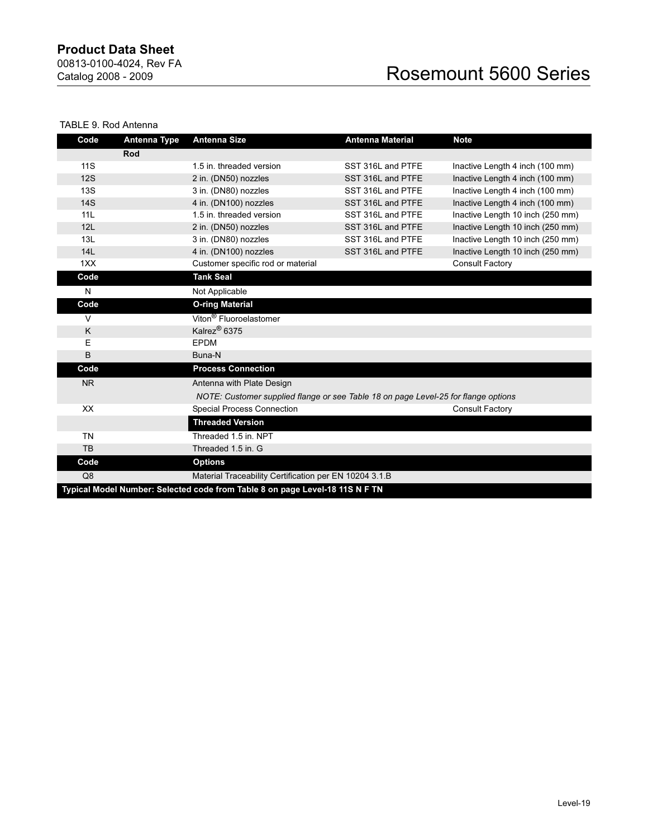## Product Data Sheet

00813-0100-4024, Rev FA Catalog 2008 - 2009

## Rosemount 5600 Series

### <span id="page-18-0"></span>TABLE 9. Rod Antenna

| Code                                                                         | <b>Antenna Type</b> | <b>Antenna Size</b>                                                                | <b>Antenna Material</b> | <b>Note</b>                      |
|------------------------------------------------------------------------------|---------------------|------------------------------------------------------------------------------------|-------------------------|----------------------------------|
|                                                                              | Rod                 |                                                                                    |                         |                                  |
| 11S                                                                          |                     | 1.5 in. threaded version                                                           | SST 316L and PTFE       | Inactive Length 4 inch (100 mm)  |
| 12S                                                                          |                     | 2 in. (DN50) nozzles                                                               | SST 316L and PTFE       | Inactive Length 4 inch (100 mm)  |
| 13S                                                                          |                     | 3 in. (DN80) nozzles                                                               | SST 316L and PTFE       | Inactive Length 4 inch (100 mm)  |
| 14S                                                                          |                     | 4 in. (DN100) nozzles                                                              | SST 316L and PTFE       | Inactive Length 4 inch (100 mm)  |
| 11L                                                                          |                     | 1.5 in. threaded version                                                           | SST 316L and PTFE       | Inactive Length 10 inch (250 mm) |
| 12L                                                                          |                     | 2 in. (DN50) nozzles                                                               | SST 316L and PTFE       | Inactive Length 10 inch (250 mm) |
| 13L                                                                          |                     | 3 in. (DN80) nozzles                                                               | SST 316L and PTFE       | Inactive Length 10 inch (250 mm) |
| 14L                                                                          |                     | 4 in. (DN100) nozzles                                                              | SST 316L and PTFE       | Inactive Length 10 inch (250 mm) |
| 1XX                                                                          |                     | Customer specific rod or material                                                  |                         | Consult Factory                  |
| Code                                                                         |                     | <b>Tank Seal</b>                                                                   |                         |                                  |
| N                                                                            |                     | Not Applicable                                                                     |                         |                                  |
| Code                                                                         |                     | <b>O-ring Material</b>                                                             |                         |                                  |
| $\vee$                                                                       |                     | Viton <sup>®</sup> Fluoroelastomer                                                 |                         |                                  |
| K                                                                            |                     | Kalrez <sup>®</sup> 6375                                                           |                         |                                  |
| E                                                                            |                     | <b>EPDM</b>                                                                        |                         |                                  |
| B                                                                            |                     | Buna-N                                                                             |                         |                                  |
| Code                                                                         |                     | <b>Process Connection</b>                                                          |                         |                                  |
| N <sub>R</sub>                                                               |                     | Antenna with Plate Design                                                          |                         |                                  |
|                                                                              |                     | NOTE: Customer supplied flange or see Table 18 on page Level-25 for flange options |                         |                                  |
| XX                                                                           |                     | <b>Special Process Connection</b>                                                  |                         | <b>Consult Factory</b>           |
|                                                                              |                     | <b>Threaded Version</b>                                                            |                         |                                  |
| <b>TN</b>                                                                    |                     | Threaded 1.5 in, NPT                                                               |                         |                                  |
| <b>TB</b>                                                                    |                     | Threaded 1.5 in. G                                                                 |                         |                                  |
| Code                                                                         |                     | <b>Options</b>                                                                     |                         |                                  |
| Q8                                                                           |                     | Material Traceability Certification per EN 10204 3.1.B                             |                         |                                  |
| Typical Model Number: Selected code from Table 8 on page Level-18 11S N F TN |                     |                                                                                    |                         |                                  |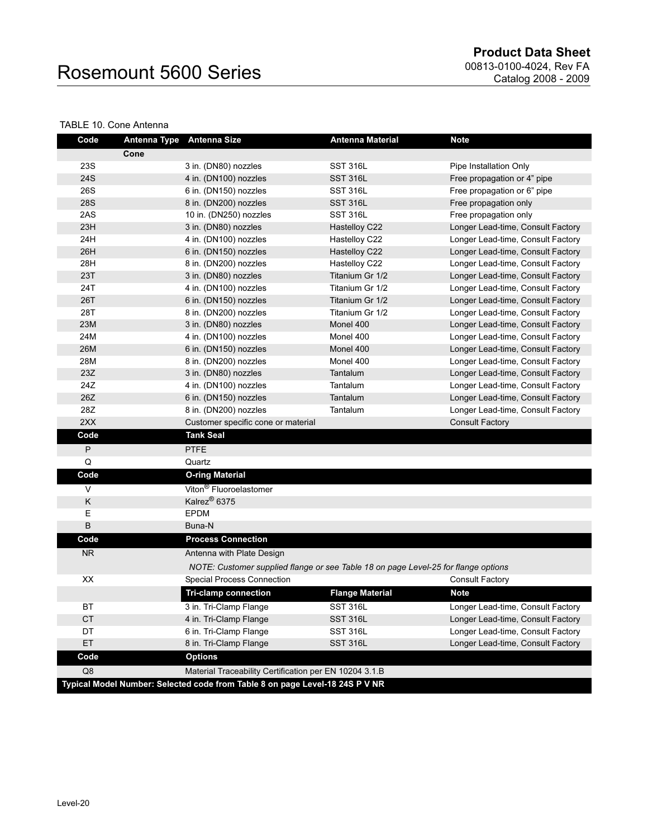### <span id="page-19-0"></span>TABLE 10. Cone Antenna

| Code       | Antenna Type Antenna Size |                                                                                    | Antenna Material       | <b>Note</b>                       |
|------------|---------------------------|------------------------------------------------------------------------------------|------------------------|-----------------------------------|
|            | Cone                      |                                                                                    |                        |                                   |
| 23S        |                           | 3 in. (DN80) nozzles                                                               | <b>SST 316L</b>        | Pipe Installation Only            |
| <b>24S</b> |                           | 4 in. (DN100) nozzles                                                              | <b>SST 316L</b>        | Free propagation or 4" pipe       |
| 26S        |                           | 6 in. (DN150) nozzles                                                              | <b>SST 316L</b>        | Free propagation or 6" pipe       |
| <b>28S</b> |                           | 8 in. (DN200) nozzles                                                              | <b>SST 316L</b>        | Free propagation only             |
| 2AS        |                           | 10 in. (DN250) nozzles                                                             | <b>SST 316L</b>        | Free propagation only             |
| 23H        |                           | 3 in. (DN80) nozzles                                                               | Hastelloy C22          | Longer Lead-time, Consult Factory |
| 24H        |                           | 4 in. (DN100) nozzles                                                              | Hastelloy C22          | Longer Lead-time, Consult Factory |
| 26H        |                           | 6 in. (DN150) nozzles                                                              | Hastelloy C22          | Longer Lead-time, Consult Factory |
| 28H        |                           | 8 in. (DN200) nozzles                                                              | Hastelloy C22          | Longer Lead-time, Consult Factory |
| 23T        |                           | 3 in. (DN80) nozzles                                                               | Titanium Gr 1/2        | Longer Lead-time, Consult Factory |
| 24T        |                           | 4 in. (DN100) nozzles                                                              | Titanium Gr 1/2        | Longer Lead-time, Consult Factory |
| <b>26T</b> |                           | 6 in. (DN150) nozzles                                                              | Titanium Gr 1/2        | Longer Lead-time, Consult Factory |
| 28T        |                           | 8 in. (DN200) nozzles                                                              | Titanium Gr 1/2        | Longer Lead-time, Consult Factory |
| 23M        |                           | 3 in. (DN80) nozzles                                                               | Monel 400              | Longer Lead-time, Consult Factory |
| 24M        |                           | 4 in. (DN100) nozzles                                                              | Monel 400              | Longer Lead-time, Consult Factory |
| 26M        |                           | 6 in. (DN150) nozzles                                                              | Monel 400              | Longer Lead-time, Consult Factory |
| 28M        |                           | 8 in. (DN200) nozzles                                                              | Monel 400              | Longer Lead-time, Consult Factory |
| 23Z        |                           | 3 in. (DN80) nozzles                                                               | <b>Tantalum</b>        | Longer Lead-time, Consult Factory |
| 24Z        |                           | 4 in. (DN100) nozzles                                                              | Tantalum               | Longer Lead-time, Consult Factory |
| 26Z        |                           | 6 in. (DN150) nozzles                                                              | Tantalum               | Longer Lead-time, Consult Factory |
| 28Z        |                           | 8 in. (DN200) nozzles                                                              | Tantalum               | Longer Lead-time, Consult Factory |
| 2XX        |                           | Customer specific cone or material                                                 |                        | <b>Consult Factory</b>            |
| Code       |                           | <b>Tank Seal</b>                                                                   |                        |                                   |
| $\sf P$    |                           | <b>PTFE</b>                                                                        |                        |                                   |
| Q          |                           | Quartz                                                                             |                        |                                   |
| Code       |                           | <b>O-ring Material</b>                                                             |                        |                                   |
| V          |                           | Viton <sup>®</sup> Fluoroelastomer                                                 |                        |                                   |
| K          |                           | Kalrez <sup>®</sup> 6375                                                           |                        |                                   |
| Е          |                           | <b>EPDM</b>                                                                        |                        |                                   |
| B          |                           | Buna-N                                                                             |                        |                                   |
| Code       |                           | <b>Process Connection</b>                                                          |                        |                                   |
| <b>NR</b>  |                           | Antenna with Plate Design                                                          |                        |                                   |
|            |                           | NOTE: Customer supplied flange or see Table 18 on page Level-25 for flange options |                        |                                   |
| XX         |                           | <b>Special Process Connection</b>                                                  |                        | <b>Consult Factory</b>            |
|            |                           | <b>Tri-clamp connection</b>                                                        | <b>Flange Material</b> | <b>Note</b>                       |
| BT         |                           | 3 in. Tri-Clamp Flange                                                             | SST 316L               | Longer Lead-time, Consult Factory |
| CT         |                           | 4 in. Tri-Clamp Flange                                                             | <b>SST 316L</b>        | Longer Lead-time, Consult Factory |
| DT         |                           | 6 in. Tri-Clamp Flange                                                             | SST 316L               | Longer Lead-time, Consult Factory |
| ET         |                           | 8 in. Tri-Clamp Flange                                                             | <b>SST 316L</b>        | Longer Lead-time, Consult Factory |
| Code       |                           | <b>Options</b>                                                                     |                        |                                   |
| Q8         |                           | Material Traceability Certification per EN 10204 3.1.B                             |                        |                                   |
|            |                           | Typical Model Number: Selected code from Table 8 on page Level-18 24S P V NR       |                        |                                   |
|            |                           |                                                                                    |                        |                                   |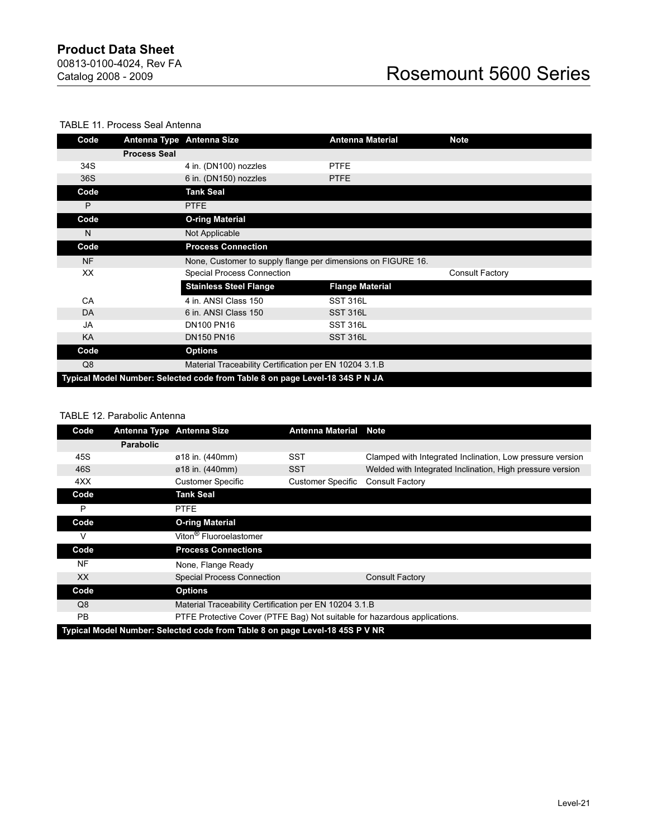### <span id="page-20-0"></span>TABLE 11. Process Seal Antenna

| Code                                                                         |                     | Antenna Type Antenna Size                                    | <b>Antenna Material</b> | <b>Note</b>            |
|------------------------------------------------------------------------------|---------------------|--------------------------------------------------------------|-------------------------|------------------------|
|                                                                              | <b>Process Seal</b> |                                                              |                         |                        |
| 34S                                                                          |                     | 4 in. (DN100) nozzles                                        | <b>PTFE</b>             |                        |
| 36S                                                                          |                     | 6 in. (DN150) nozzles                                        | <b>PTFE</b>             |                        |
| Code                                                                         |                     | <b>Tank Seal</b>                                             |                         |                        |
| P                                                                            |                     | <b>PTFE</b>                                                  |                         |                        |
| Code                                                                         |                     | <b>O-ring Material</b>                                       |                         |                        |
| N                                                                            |                     | Not Applicable                                               |                         |                        |
| Code                                                                         |                     | <b>Process Connection</b>                                    |                         |                        |
| <b>NF</b>                                                                    |                     | None, Customer to supply flange per dimensions on FIGURE 16. |                         |                        |
| XX                                                                           |                     | <b>Special Process Connection</b>                            |                         | <b>Consult Factory</b> |
|                                                                              |                     | <b>Stainless Steel Flange</b>                                | <b>Flange Material</b>  |                        |
| CA                                                                           |                     | 4 in. ANSI Class 150                                         | <b>SST 316L</b>         |                        |
| DA                                                                           |                     | 6 in. ANSI Class 150                                         | <b>SST 316L</b>         |                        |
| JA                                                                           |                     | <b>DN100 PN16</b>                                            | <b>SST 316L</b>         |                        |
| KA                                                                           |                     | <b>DN150 PN16</b>                                            | <b>SST 316L</b>         |                        |
| Code                                                                         |                     | <b>Options</b>                                               |                         |                        |
| Q8                                                                           |                     | Material Traceability Certification per EN 10204 3.1.B       |                         |                        |
| Typical Model Number: Selected code from Table 8 on page Level-18 34S P N JA |                     |                                                              |                         |                        |

### TABLE 12. Parabolic Antenna

| Code                                                                         | Antenna Type Antenna Size |                                                                           | <b>Antenna Material</b>  | <b>Note</b>                                               |
|------------------------------------------------------------------------------|---------------------------|---------------------------------------------------------------------------|--------------------------|-----------------------------------------------------------|
|                                                                              | <b>Parabolic</b>          |                                                                           |                          |                                                           |
| 45S                                                                          |                           | ø18 in. (440mm)                                                           | <b>SST</b>               | Clamped with Integrated Inclination, Low pressure version |
| 46S                                                                          |                           | ø18 in. (440mm)                                                           | <b>SST</b>               | Welded with Integrated Inclination, High pressure version |
| 4XX                                                                          |                           | <b>Customer Specific</b>                                                  | <b>Customer Specific</b> | <b>Consult Factory</b>                                    |
| Code                                                                         |                           | <b>Tank Seal</b>                                                          |                          |                                                           |
| P                                                                            |                           | <b>PTFE</b>                                                               |                          |                                                           |
| Code                                                                         |                           | <b>O-ring Material</b>                                                    |                          |                                                           |
| V                                                                            |                           | Viton <sup>®</sup> Fluoroelastomer                                        |                          |                                                           |
| Code                                                                         |                           | <b>Process Connections</b>                                                |                          |                                                           |
| NF                                                                           |                           | None, Flange Ready                                                        |                          |                                                           |
| XX.                                                                          |                           | <b>Special Process Connection</b>                                         |                          | <b>Consult Factory</b>                                    |
| Code                                                                         |                           | <b>Options</b>                                                            |                          |                                                           |
| Q8                                                                           |                           | Material Traceability Certification per EN 10204 3.1.B                    |                          |                                                           |
| <b>PB</b>                                                                    |                           | PTFE Protective Cover (PTFE Bag) Not suitable for hazardous applications. |                          |                                                           |
| Typical Model Number: Selected code from Table 8 on page Level-18 45S P V NR |                           |                                                                           |                          |                                                           |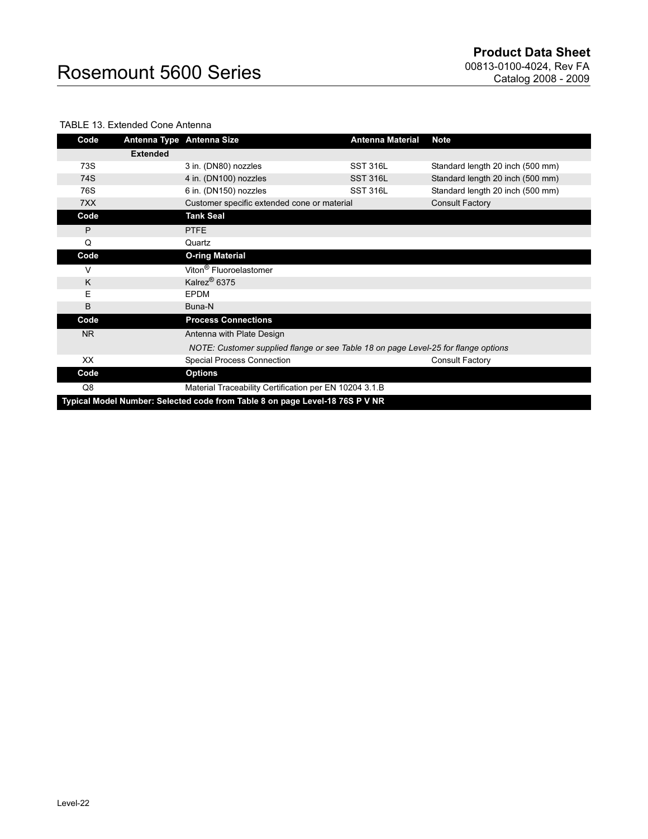### <span id="page-21-0"></span>TABLE 13. Extended Cone Antenna

| Code      | Antenna Type Antenna Size                                                    |                                                                                    | <b>Antenna Material</b> | <b>Note</b>                      |
|-----------|------------------------------------------------------------------------------|------------------------------------------------------------------------------------|-------------------------|----------------------------------|
|           | <b>Extended</b>                                                              |                                                                                    |                         |                                  |
| 73S       |                                                                              | 3 in. (DN80) nozzles                                                               | <b>SST 316L</b>         | Standard length 20 inch (500 mm) |
| 74S       |                                                                              | 4 in. (DN100) nozzles                                                              | <b>SST 316L</b>         | Standard length 20 inch (500 mm) |
| 76S       |                                                                              | 6 in. (DN150) nozzles                                                              | <b>SST 316L</b>         | Standard length 20 inch (500 mm) |
| 7XX       |                                                                              | Customer specific extended cone or material                                        |                         | <b>Consult Factory</b>           |
| Code      |                                                                              | <b>Tank Seal</b>                                                                   |                         |                                  |
| P         |                                                                              | <b>PTFE</b>                                                                        |                         |                                  |
| Q         |                                                                              | Quartz                                                                             |                         |                                  |
| Code      |                                                                              | <b>O-ring Material</b>                                                             |                         |                                  |
| V         |                                                                              | Viton <sup>®</sup> Fluoroelastomer                                                 |                         |                                  |
| K         |                                                                              | Kalrez <sup>®</sup> 6375                                                           |                         |                                  |
| E         |                                                                              | <b>EPDM</b>                                                                        |                         |                                  |
| B         |                                                                              | Buna-N                                                                             |                         |                                  |
| Code      |                                                                              | <b>Process Connections</b>                                                         |                         |                                  |
| <b>NR</b> |                                                                              | Antenna with Plate Design                                                          |                         |                                  |
|           |                                                                              | NOTE: Customer supplied flange or see Table 18 on page Level-25 for flange options |                         |                                  |
| XX        |                                                                              | <b>Special Process Connection</b>                                                  |                         | <b>Consult Factory</b>           |
| Code      |                                                                              | <b>Options</b>                                                                     |                         |                                  |
| Q8        |                                                                              | Material Traceability Certification per EN 10204 3.1.B                             |                         |                                  |
|           | Typical Model Number: Selected code from Table 8 on page Level-18 76S P V NR |                                                                                    |                         |                                  |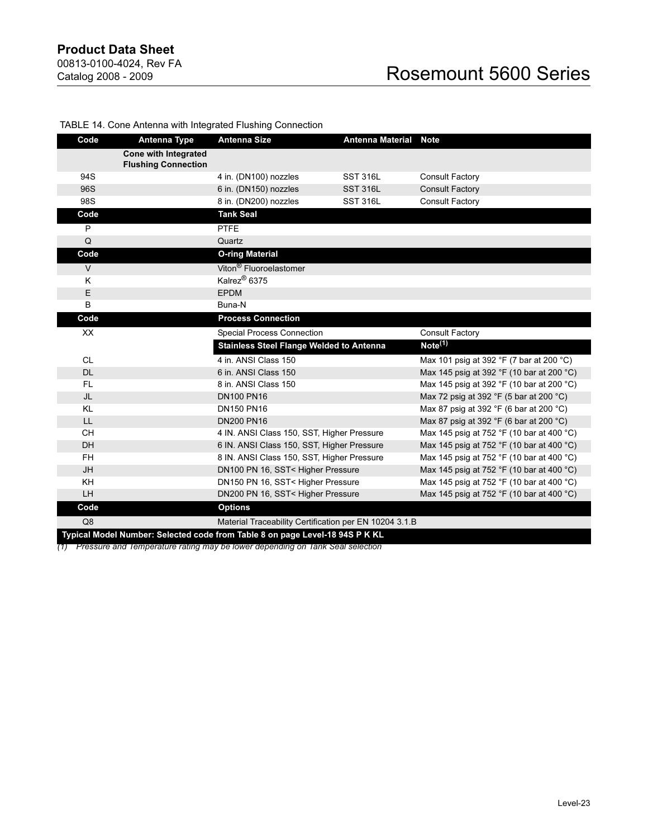| Code           | <b>Antenna Type</b>                                       | <b>Antenna Size</b>                                                          | Antenna Material Note |                                           |
|----------------|-----------------------------------------------------------|------------------------------------------------------------------------------|-----------------------|-------------------------------------------|
|                | <b>Cone with Integrated</b><br><b>Flushing Connection</b> |                                                                              |                       |                                           |
| 94S            |                                                           | 4 in. (DN100) nozzles                                                        | <b>SST 316L</b>       | <b>Consult Factory</b>                    |
| 96S            |                                                           | 6 in. (DN150) nozzles                                                        | <b>SST 316L</b>       | <b>Consult Factory</b>                    |
| 98S            |                                                           | 8 in. (DN200) nozzles                                                        | <b>SST 316L</b>       | <b>Consult Factory</b>                    |
| Code           |                                                           | <b>Tank Seal</b>                                                             |                       |                                           |
| P              |                                                           | <b>PTFE</b>                                                                  |                       |                                           |
| Q              |                                                           | Quartz                                                                       |                       |                                           |
| Code           |                                                           | <b>O-ring Material</b>                                                       |                       |                                           |
| $\vee$         |                                                           | Viton <sup>®</sup> Fluoroelastomer                                           |                       |                                           |
| K              |                                                           | Kalrez <sup>®</sup> 6375                                                     |                       |                                           |
| E              |                                                           | <b>EPDM</b>                                                                  |                       |                                           |
| B              |                                                           | Buna-N                                                                       |                       |                                           |
| Code           |                                                           | <b>Process Connection</b>                                                    |                       |                                           |
| <b>XX</b>      |                                                           | <b>Special Process Connection</b>                                            |                       | <b>Consult Factory</b>                    |
|                |                                                           | <b>Stainless Steel Flange Welded to Antenna</b>                              |                       | Note <sup>(1)</sup>                       |
| <b>CL</b>      |                                                           | 4 in. ANSI Class 150                                                         |                       | Max 101 psig at 392 °F (7 bar at 200 °C)  |
| <b>DL</b>      |                                                           | 6 in. ANSI Class 150                                                         |                       | Max 145 psig at 392 °F (10 bar at 200 °C) |
| FL.            |                                                           | 8 in. ANSI Class 150                                                         |                       | Max 145 psig at 392 °F (10 bar at 200 °C) |
| JL             |                                                           | <b>DN100 PN16</b>                                                            |                       | Max 72 psig at 392 °F (5 bar at 200 °C)   |
| <b>KL</b>      |                                                           | <b>DN150 PN16</b>                                                            |                       | Max 87 psig at 392 °F (6 bar at 200 °C)   |
| LL.            |                                                           | <b>DN200 PN16</b>                                                            |                       | Max 87 psig at 392 °F (6 bar at 200 °C)   |
| CH             |                                                           | 4 IN. ANSI Class 150, SST, Higher Pressure                                   |                       | Max 145 psig at 752 °F (10 bar at 400 °C) |
| DH             |                                                           | 6 IN. ANSI Class 150, SST, Higher Pressure                                   |                       | Max 145 psig at 752 °F (10 bar at 400 °C) |
| <b>FH</b>      |                                                           | 8 IN. ANSI Class 150, SST, Higher Pressure                                   |                       | Max 145 psig at 752 °F (10 bar at 400 °C) |
| <b>JH</b>      |                                                           | DN100 PN 16, SST< Higher Pressure                                            |                       | Max 145 psig at 752 °F (10 bar at 400 °C) |
| <b>KH</b>      |                                                           | DN150 PN 16, SST< Higher Pressure                                            |                       | Max 145 psig at 752 °F (10 bar at 400 °C) |
| <b>LH</b>      |                                                           | DN200 PN 16, SST< Higher Pressure                                            |                       | Max 145 psig at 752 °F (10 bar at 400 °C) |
| Code           |                                                           | <b>Options</b>                                                               |                       |                                           |
| Q <sub>8</sub> |                                                           | Material Traceability Certification per EN 10204 3.1.B                       |                       |                                           |
|                |                                                           | Typical Model Number: Selected code from Table 8 on page Level-18 94S P K KL |                       |                                           |

### <span id="page-22-0"></span>TABLE 14. Cone Antenna with Integrated Flushing Connection

(1) Pressure and Temperature rating may be lower depending on Tank Seal selection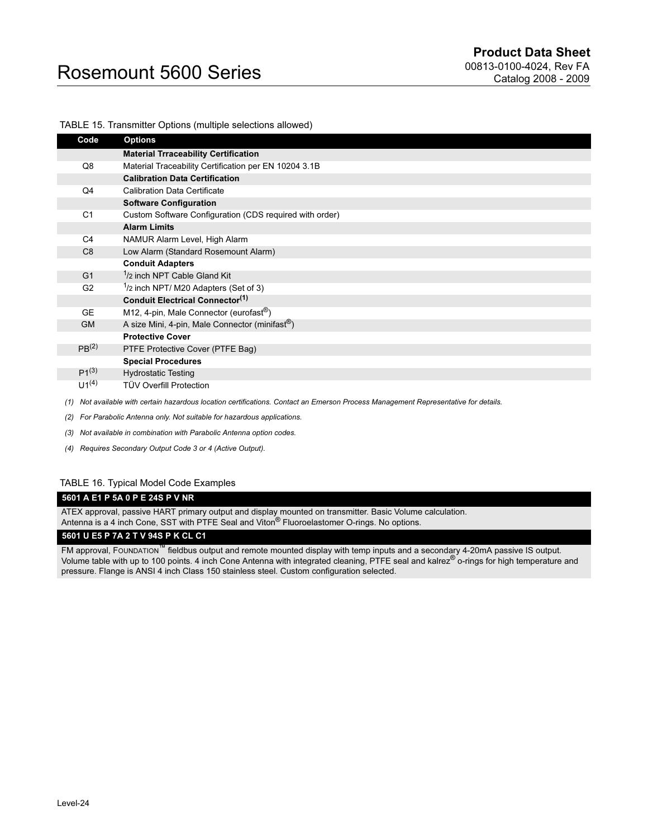### TABLE 15. Transmitter Options (multiple selections allowed)

| Code              | <b>Options</b>                                              |
|-------------------|-------------------------------------------------------------|
|                   | <b>Material Trraceability Certification</b>                 |
| Q8                | Material Traceability Certification per EN 10204 3.1B       |
|                   | <b>Calibration Data Certification</b>                       |
| Q4                | <b>Calibration Data Certificate</b>                         |
|                   | <b>Software Configuration</b>                               |
| C <sub>1</sub>    | Custom Software Configuration (CDS required with order)     |
|                   | <b>Alarm Limits</b>                                         |
| C <sub>4</sub>    | NAMUR Alarm Level, High Alarm                               |
| C <sub>8</sub>    | Low Alarm (Standard Rosemount Alarm)                        |
|                   | <b>Conduit Adapters</b>                                     |
| G <sub>1</sub>    | <sup>1</sup> /2 inch NPT Cable Gland Kit                    |
| G <sub>2</sub>    | $1/2$ inch NPT/ M20 Adapters (Set of 3)                     |
|                   | <b>Conduit Electrical Connector(1)</b>                      |
| <b>GE</b>         | M12, 4-pin, Male Connector (eurofast <sup>®</sup> )         |
| <b>GM</b>         | A size Mini, 4-pin, Male Connector (minifast <sup>®</sup> ) |
|                   | <b>Protective Cover</b>                                     |
| PB <sup>(2)</sup> | PTFE Protective Cover (PTFE Bag)                            |
|                   | <b>Special Procedures</b>                                   |
| $P1^{(3)}$        | <b>Hydrostatic Testing</b>                                  |
| $U1^{(4)}$        | TÜV Overfill Protection                                     |

(1) Not available with certain hazardous location certifications. Contact an Emerson Process Management Representative for details.

(2) For Parabolic Antenna only. Not suitable for hazardous applications.

(3) Not available in combination with Parabolic Antenna option codes.

(4) Requires Secondary Output Code 3 or 4 (Active Output).

#### TABLE 16. Typical Model Code Examples

### 5601 A E1 P 5A 0 P E 24S P V NR

ATEX approval, passive HART primary output and display mounted on transmitter. Basic Volume calculation.

Antenna is a 4 inch Cone, SST with PTFE Seal and Viton® Fluoroelastomer O-rings. No options.

### 5601 U E5 P 7A 2 T V 94S P K CL C1

FM approval, FOUNDATION™ fieldbus output and remote mounted display with temp inputs and a secondary 4-20mA passive IS output. Volume table with up to 100 points. 4 inch Cone Antenna with integrated cleaning, PTFE seal and kalrez® o-rings for high temperature and pressure. Flange is ANSI 4 inch Class 150 stainless steel. Custom configuration selected.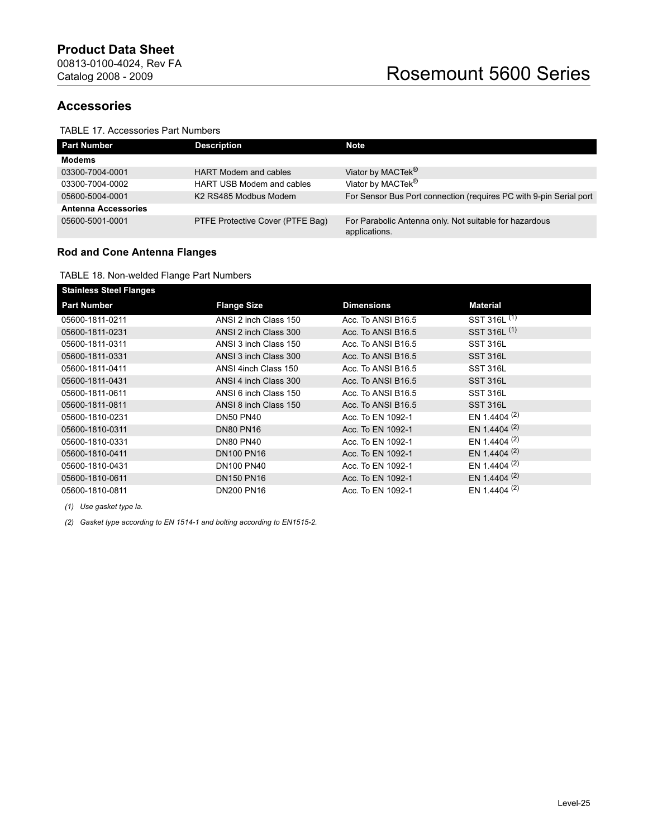### <span id="page-24-1"></span>Accessories

### <span id="page-24-2"></span>TABLE 17. Accessories Part Numbers

| <b>Part Number</b>         | <b>Description</b>                | Note                                                                    |
|----------------------------|-----------------------------------|-------------------------------------------------------------------------|
| <b>Modems</b>              |                                   |                                                                         |
| 03300-7004-0001            | <b>HART Modem and cables</b>      | Viator by MACTek <sup>®</sup>                                           |
| 03300-7004-0002            | <b>HART USB Modem and cables</b>  | Viator by MACTek <sup>®</sup>                                           |
| 05600-5004-0001            | K <sub>2</sub> RS485 Modbus Modem | For Sensor Bus Port connection (requires PC with 9-pin Serial port      |
| <b>Antenna Accessories</b> |                                   |                                                                         |
| 05600-5001-0001            | PTFE Protective Cover (PTFE Bag)  | For Parabolic Antenna only. Not suitable for hazardous<br>applications. |

### Rod and Cone Antenna Flanges

### <span id="page-24-0"></span>TABLE 18. Non-welded Flange Part Numbers

| <b>Stainless Steel Flanges</b> |                       |                    |                 |
|--------------------------------|-----------------------|--------------------|-----------------|
| <b>Part Number</b>             | <b>Flange Size</b>    | <b>Dimensions</b>  | <b>Material</b> |
| 05600-1811-0211                | ANSI 2 inch Class 150 | Acc. To ANSI B16.5 | SST 316L (1)    |
| 05600-1811-0231                | ANSI 2 inch Class 300 | Acc. To ANSI B16.5 | SST 316L (1)    |
| 05600-1811-0311                | ANSI 3 inch Class 150 | Acc. To ANSI B16.5 | <b>SST 316L</b> |
| 05600-1811-0331                | ANSI 3 inch Class 300 | Acc. To ANSI B16.5 | <b>SST 316L</b> |
| 05600-1811-0411                | ANSI 4inch Class 150  | Acc. To ANSI B16.5 | <b>SST 316L</b> |
| 05600-1811-0431                | ANSI 4 inch Class 300 | Acc. To ANSI B16.5 | <b>SST 316L</b> |
| 05600-1811-0611                | ANSI 6 inch Class 150 | Acc. To ANSI B16.5 | <b>SST 316L</b> |
| 05600-1811-0811                | ANSI 8 inch Class 150 | Acc. To ANSI B16.5 | <b>SST 316L</b> |
| 05600-1810-0231                | <b>DN50 PN40</b>      | Acc. To EN 1092-1  | EN 1.4404 $(2)$ |
| 05600-1810-0311                | <b>DN80 PN16</b>      | Acc. To EN 1092-1  | EN 1.4404 $(2)$ |
| 05600-1810-0331                | <b>DN80 PN40</b>      | Acc. To EN 1092-1  | EN 1.4404 $(2)$ |
| 05600-1810-0411                | <b>DN100 PN16</b>     | Acc. To EN 1092-1  | EN 1.4404 $(2)$ |
| 05600-1810-0431                | <b>DN100 PN40</b>     | Acc. To EN 1092-1  | EN 1.4404 $(2)$ |
| 05600-1810-0611                | <b>DN150 PN16</b>     | Acc. To EN 1092-1  | EN 1.4404 $(2)$ |
| 05600-1810-0811                | <b>DN200 PN16</b>     | Acc. To EN 1092-1  | EN 1.4404 $(2)$ |

<span id="page-24-3"></span>(1) Use gasket type la.

<span id="page-24-4"></span>(2) Gasket type according to EN 1514-1 and bolting according to EN1515-2.